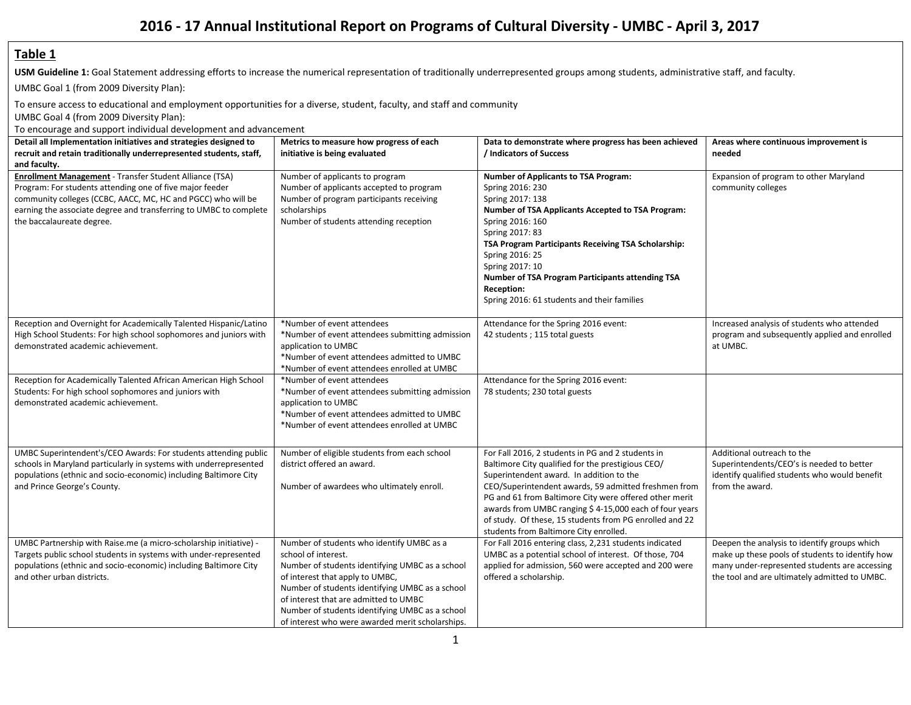# **2016 - 17 Annual Institutional Report on Programs of Cultural Diversity - UMBC - April 3, 2017**

#### **Table 1**

USM Guideline 1: Goal Statement addressing efforts to increase the numerical representation of traditionally underrepresented groups among students, administrative staff, and faculty.

UMBC Goal 1 (from 2009 Diversity Plan):

To ensure access to educational and employment opportunities for a diverse, student, faculty, and staff and community

UMBC Goal 4 (from 2009 Diversity Plan):

To encourage and support individual development and advancement

| Detail all Implementation initiatives and strategies designed to                                                                                                                                                                                                                             | Metrics to measure how progress of each                                                                                                                                                                                                                                                                                                                   | Data to demonstrate where progress has been achieved                                                                                                                                                                                                                                                                                                                                                                                | Areas where continuous improvement is                                                                                                                                                             |
|----------------------------------------------------------------------------------------------------------------------------------------------------------------------------------------------------------------------------------------------------------------------------------------------|-----------------------------------------------------------------------------------------------------------------------------------------------------------------------------------------------------------------------------------------------------------------------------------------------------------------------------------------------------------|-------------------------------------------------------------------------------------------------------------------------------------------------------------------------------------------------------------------------------------------------------------------------------------------------------------------------------------------------------------------------------------------------------------------------------------|---------------------------------------------------------------------------------------------------------------------------------------------------------------------------------------------------|
| recruit and retain traditionally underrepresented students, staff,                                                                                                                                                                                                                           | initiative is being evaluated                                                                                                                                                                                                                                                                                                                             | / Indicators of Success                                                                                                                                                                                                                                                                                                                                                                                                             | needed                                                                                                                                                                                            |
| and faculty.                                                                                                                                                                                                                                                                                 |                                                                                                                                                                                                                                                                                                                                                           |                                                                                                                                                                                                                                                                                                                                                                                                                                     |                                                                                                                                                                                                   |
| <b>Enrollment Management</b> - Transfer Student Alliance (TSA)<br>Program: For students attending one of five major feeder<br>community colleges (CCBC, AACC, MC, HC and PGCC) who will be<br>earning the associate degree and transferring to UMBC to complete<br>the baccalaureate degree. | Number of applicants to program<br>Number of applicants accepted to program<br>Number of program participants receiving<br>scholarships<br>Number of students attending reception                                                                                                                                                                         | <b>Number of Applicants to TSA Program:</b><br>Spring 2016: 230<br>Spring 2017: 138<br>Number of TSA Applicants Accepted to TSA Program:<br>Spring 2016: 160<br>Spring 2017: 83<br>TSA Program Participants Receiving TSA Scholarship:<br>Spring 2016: 25<br>Spring 2017: 10<br>Number of TSA Program Participants attending TSA<br><b>Reception:</b><br>Spring 2016: 61 students and their families                                | Expansion of program to other Maryland<br>community colleges                                                                                                                                      |
| Reception and Overnight for Academically Talented Hispanic/Latino<br>High School Students: For high school sophomores and juniors with<br>demonstrated academic achievement.                                                                                                                 | *Number of event attendees<br>*Number of event attendees submitting admission<br>application to UMBC<br>*Number of event attendees admitted to UMBC<br>*Number of event attendees enrolled at UMBC                                                                                                                                                        | Attendance for the Spring 2016 event:<br>42 students; 115 total guests                                                                                                                                                                                                                                                                                                                                                              | Increased analysis of students who attended<br>program and subsequently applied and enrolled<br>at UMBC.                                                                                          |
| Reception for Academically Talented African American High School<br>Students: For high school sophomores and juniors with<br>demonstrated academic achievement.                                                                                                                              | *Number of event attendees<br>*Number of event attendees submitting admission<br>application to UMBC<br>*Number of event attendees admitted to UMBC<br>*Number of event attendees enrolled at UMBC                                                                                                                                                        | Attendance for the Spring 2016 event:<br>78 students; 230 total guests                                                                                                                                                                                                                                                                                                                                                              |                                                                                                                                                                                                   |
| UMBC Superintendent's/CEO Awards: For students attending public<br>schools in Maryland particularly in systems with underrepresented<br>populations (ethnic and socio-economic) including Baltimore City<br>and Prince George's County.                                                      | Number of eligible students from each school<br>district offered an award.<br>Number of awardees who ultimately enroll.                                                                                                                                                                                                                                   | For Fall 2016, 2 students in PG and 2 students in<br>Baltimore City qualified for the prestigious CEO/<br>Superintendent award. In addition to the<br>CEO/Superintendent awards, 59 admitted freshmen from<br>PG and 61 from Baltimore City were offered other merit<br>awards from UMBC ranging \$4-15,000 each of four years<br>of study. Of these, 15 students from PG enrolled and 22<br>students from Baltimore City enrolled. | Additional outreach to the<br>Superintendents/CEO's is needed to better<br>identify qualified students who would benefit<br>from the award.                                                       |
| UMBC Partnership with Raise.me (a micro-scholarship initiative) -<br>Targets public school students in systems with under-represented<br>populations (ethnic and socio-economic) including Baltimore City<br>and other urban districts.                                                      | Number of students who identify UMBC as a<br>school of interest.<br>Number of students identifying UMBC as a school<br>of interest that apply to UMBC,<br>Number of students identifying UMBC as a school<br>of interest that are admitted to UMBC<br>Number of students identifying UMBC as a school<br>of interest who were awarded merit scholarships. | For Fall 2016 entering class, 2,231 students indicated<br>UMBC as a potential school of interest. Of those, 704<br>applied for admission, 560 were accepted and 200 were<br>offered a scholarship.                                                                                                                                                                                                                                  | Deepen the analysis to identify groups which<br>make up these pools of students to identify how<br>many under-represented students are accessing<br>the tool and are ultimately admitted to UMBC. |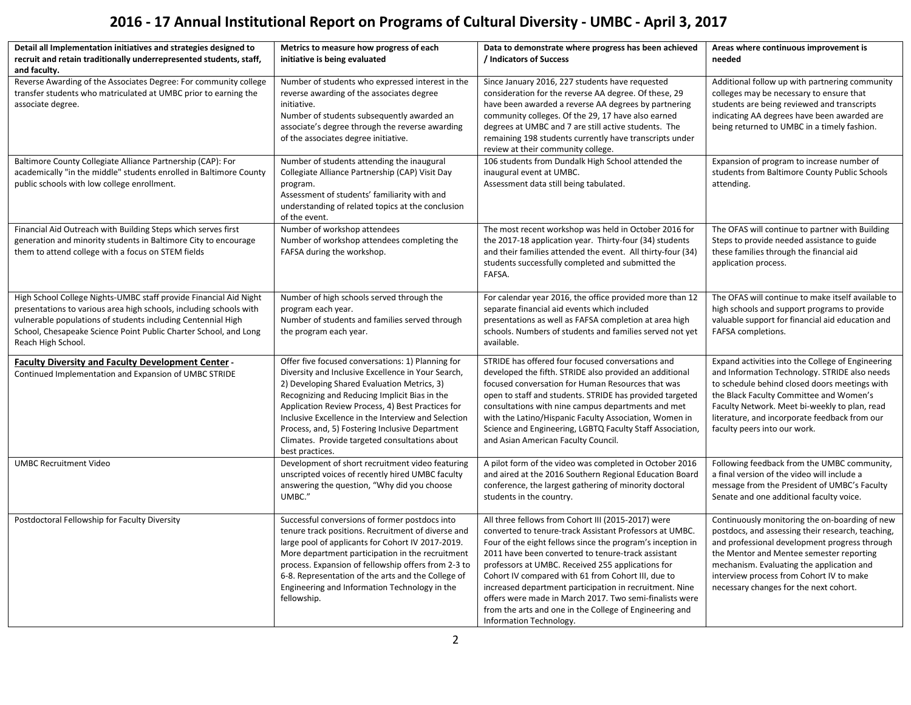# **2016 - 17 Annual Institutional Report on Programs of Cultural Diversity - UMBC - April 3, 2017**

| Detail all Implementation initiatives and strategies designed to                                                                                                                                                                                                                                  | Metrics to measure how progress of each                                                                                                                                                                                                                                                                                                                                                                                                     | Data to demonstrate where progress has been achieved                                                                                                                                                                                                                                                                                                                                                                                                                                                                                                     | Areas where continuous improvement is                                                                                                                                                                                                                                                                                               |
|---------------------------------------------------------------------------------------------------------------------------------------------------------------------------------------------------------------------------------------------------------------------------------------------------|---------------------------------------------------------------------------------------------------------------------------------------------------------------------------------------------------------------------------------------------------------------------------------------------------------------------------------------------------------------------------------------------------------------------------------------------|----------------------------------------------------------------------------------------------------------------------------------------------------------------------------------------------------------------------------------------------------------------------------------------------------------------------------------------------------------------------------------------------------------------------------------------------------------------------------------------------------------------------------------------------------------|-------------------------------------------------------------------------------------------------------------------------------------------------------------------------------------------------------------------------------------------------------------------------------------------------------------------------------------|
| recruit and retain traditionally underrepresented students, staff,                                                                                                                                                                                                                                | initiative is being evaluated                                                                                                                                                                                                                                                                                                                                                                                                               | / Indicators of Success                                                                                                                                                                                                                                                                                                                                                                                                                                                                                                                                  | needed                                                                                                                                                                                                                                                                                                                              |
| and faculty.                                                                                                                                                                                                                                                                                      |                                                                                                                                                                                                                                                                                                                                                                                                                                             |                                                                                                                                                                                                                                                                                                                                                                                                                                                                                                                                                          |                                                                                                                                                                                                                                                                                                                                     |
| Reverse Awarding of the Associates Degree: For community college<br>transfer students who matriculated at UMBC prior to earning the<br>associate degree.                                                                                                                                          | Number of students who expressed interest in the<br>reverse awarding of the associates degree<br>initiative.<br>Number of students subsequently awarded an<br>associate's degree through the reverse awarding<br>of the associates degree initiative.                                                                                                                                                                                       | Since January 2016, 227 students have requested<br>consideration for the reverse AA degree. Of these, 29<br>have been awarded a reverse AA degrees by partnering<br>community colleges. Of the 29, 17 have also earned<br>degrees at UMBC and 7 are still active students. The<br>remaining 198 students currently have transcripts under<br>review at their community college.                                                                                                                                                                          | Additional follow up with partnering community<br>colleges may be necessary to ensure that<br>students are being reviewed and transcripts<br>indicating AA degrees have been awarded are<br>being returned to UMBC in a timely fashion.                                                                                             |
| Baltimore County Collegiate Alliance Partnership (CAP): For                                                                                                                                                                                                                                       | Number of students attending the inaugural                                                                                                                                                                                                                                                                                                                                                                                                  | 106 students from Dundalk High School attended the                                                                                                                                                                                                                                                                                                                                                                                                                                                                                                       | Expansion of program to increase number of                                                                                                                                                                                                                                                                                          |
| academically "in the middle" students enrolled in Baltimore County<br>public schools with low college enrollment.                                                                                                                                                                                 | Collegiate Alliance Partnership (CAP) Visit Day<br>program.<br>Assessment of students' familiarity with and<br>understanding of related topics at the conclusion<br>of the event.                                                                                                                                                                                                                                                           | inaugural event at UMBC.<br>Assessment data still being tabulated.                                                                                                                                                                                                                                                                                                                                                                                                                                                                                       | students from Baltimore County Public Schools<br>attending.                                                                                                                                                                                                                                                                         |
| Financial Aid Outreach with Building Steps which serves first<br>generation and minority students in Baltimore City to encourage<br>them to attend college with a focus on STEM fields                                                                                                            | Number of workshop attendees<br>Number of workshop attendees completing the<br>FAFSA during the workshop.                                                                                                                                                                                                                                                                                                                                   | The most recent workshop was held in October 2016 for<br>the 2017-18 application year. Thirty-four (34) students<br>and their families attended the event. All thirty-four (34)<br>students successfully completed and submitted the<br>FAFSA.                                                                                                                                                                                                                                                                                                           | The OFAS will continue to partner with Building<br>Steps to provide needed assistance to guide<br>these families through the financial aid<br>application process.                                                                                                                                                                  |
| High School College Nights-UMBC staff provide Financial Aid Night<br>presentations to various area high schools, including schools with<br>vulnerable populations of students including Centennial High<br>School, Chesapeake Science Point Public Charter School, and Long<br>Reach High School. | Number of high schools served through the<br>program each year.<br>Number of students and families served through<br>the program each year.                                                                                                                                                                                                                                                                                                 | For calendar year 2016, the office provided more than 12<br>separate financial aid events which included<br>presentations as well as FAFSA completion at area high<br>schools. Numbers of students and families served not yet<br>available.                                                                                                                                                                                                                                                                                                             | The OFAS will continue to make itself available to<br>high schools and support programs to provide<br>valuable support for financial aid education and<br>FAFSA completions.                                                                                                                                                        |
| <b>Faculty Diversity and Faculty Development Center -</b><br>Continued Implementation and Expansion of UMBC STRIDE                                                                                                                                                                                | Offer five focused conversations: 1) Planning for<br>Diversity and Inclusive Excellence in Your Search,<br>2) Developing Shared Evaluation Metrics, 3)<br>Recognizing and Reducing Implicit Bias in the<br>Application Review Process, 4) Best Practices for<br>Inclusive Excellence in the Interview and Selection<br>Process, and, 5) Fostering Inclusive Department<br>Climates. Provide targeted consultations about<br>best practices. | STRIDE has offered four focused conversations and<br>developed the fifth. STRIDE also provided an additional<br>focused conversation for Human Resources that was<br>open to staff and students. STRIDE has provided targeted<br>consultations with nine campus departments and met<br>with the Latino/Hispanic Faculty Association, Women in<br>Science and Engineering, LGBTQ Faculty Staff Association,<br>and Asian American Faculty Council.                                                                                                        | Expand activities into the College of Engineering<br>and Information Technology. STRIDE also needs<br>to schedule behind closed doors meetings with<br>the Black Faculty Committee and Women's<br>Faculty Network. Meet bi-weekly to plan, read<br>literature, and incorporate feedback from our<br>faculty peers into our work.    |
| <b>UMBC Recruitment Video</b>                                                                                                                                                                                                                                                                     | Development of short recruitment video featuring<br>unscripted voices of recently hired UMBC faculty<br>answering the question, "Why did you choose<br>UMBC."                                                                                                                                                                                                                                                                               | A pilot form of the video was completed in October 2016<br>and aired at the 2016 Southern Regional Education Board<br>conference, the largest gathering of minority doctoral<br>students in the country.                                                                                                                                                                                                                                                                                                                                                 | Following feedback from the UMBC community,<br>a final version of the video will include a<br>message from the President of UMBC's Faculty<br>Senate and one additional faculty voice.                                                                                                                                              |
| Postdoctoral Fellowship for Faculty Diversity                                                                                                                                                                                                                                                     | Successful conversions of former postdocs into<br>tenure track positions. Recruitment of diverse and<br>large pool of applicants for Cohort IV 2017-2019.<br>More department participation in the recruitment<br>process. Expansion of fellowship offers from 2-3 to<br>6-8. Representation of the arts and the College of<br>Engineering and Information Technology in the<br>fellowship.                                                  | All three fellows from Cohort III (2015-2017) were<br>converted to tenure-track Assistant Professors at UMBC.<br>Four of the eight fellows since the program's inception in<br>2011 have been converted to tenure-track assistant<br>professors at UMBC. Received 255 applications for<br>Cohort IV compared with 61 from Cohort III, due to<br>increased department participation in recruitment. Nine<br>offers were made in March 2017. Two semi-finalists were<br>from the arts and one in the College of Engineering and<br>Information Technology. | Continuously monitoring the on-boarding of new<br>postdocs, and assessing their research, teaching,<br>and professional development progress through<br>the Mentor and Mentee semester reporting<br>mechanism. Evaluating the application and<br>interview process from Cohort IV to make<br>necessary changes for the next cohort. |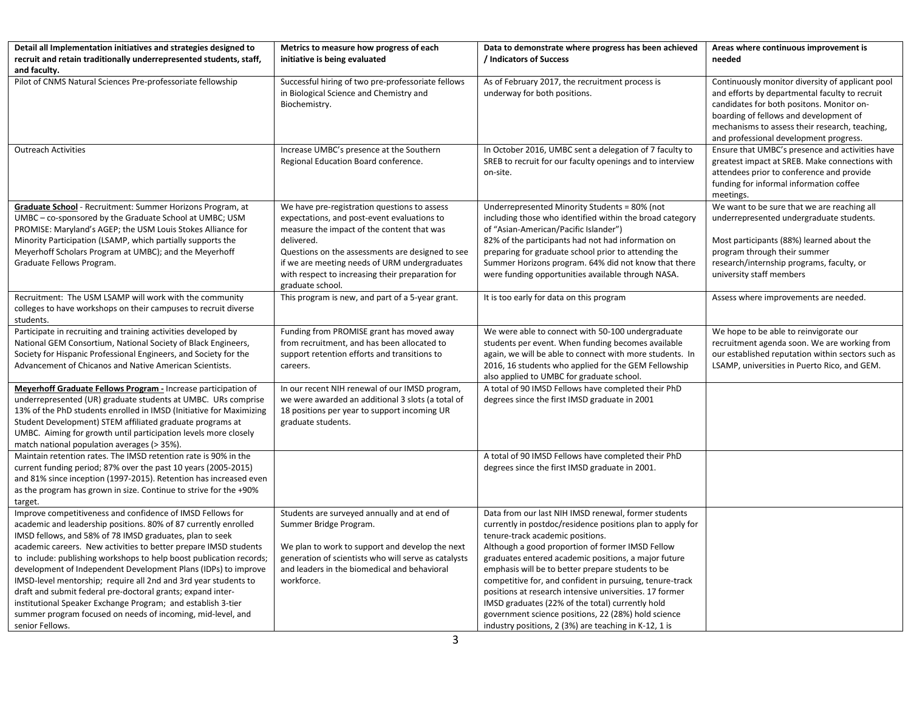| Detail all Implementation initiatives and strategies designed to                                                                                                                                                                                                                                                                                                                                                                                                                                                                                                                                                                                                                           | Metrics to measure how progress of each                                                                                                                                                                                                                                                                                              | Data to demonstrate where progress has been achieved                                                                                                                                                                                                                                                                                                                                                                                                                                                                                                                                                               | Areas where continuous improvement is                                                                                                                                                                                                                                                 |
|--------------------------------------------------------------------------------------------------------------------------------------------------------------------------------------------------------------------------------------------------------------------------------------------------------------------------------------------------------------------------------------------------------------------------------------------------------------------------------------------------------------------------------------------------------------------------------------------------------------------------------------------------------------------------------------------|--------------------------------------------------------------------------------------------------------------------------------------------------------------------------------------------------------------------------------------------------------------------------------------------------------------------------------------|--------------------------------------------------------------------------------------------------------------------------------------------------------------------------------------------------------------------------------------------------------------------------------------------------------------------------------------------------------------------------------------------------------------------------------------------------------------------------------------------------------------------------------------------------------------------------------------------------------------------|---------------------------------------------------------------------------------------------------------------------------------------------------------------------------------------------------------------------------------------------------------------------------------------|
| recruit and retain traditionally underrepresented students, staff,                                                                                                                                                                                                                                                                                                                                                                                                                                                                                                                                                                                                                         | initiative is being evaluated                                                                                                                                                                                                                                                                                                        | / Indicators of Success                                                                                                                                                                                                                                                                                                                                                                                                                                                                                                                                                                                            | needed                                                                                                                                                                                                                                                                                |
| and faculty.                                                                                                                                                                                                                                                                                                                                                                                                                                                                                                                                                                                                                                                                               |                                                                                                                                                                                                                                                                                                                                      |                                                                                                                                                                                                                                                                                                                                                                                                                                                                                                                                                                                                                    |                                                                                                                                                                                                                                                                                       |
| Pilot of CNMS Natural Sciences Pre-professoriate fellowship                                                                                                                                                                                                                                                                                                                                                                                                                                                                                                                                                                                                                                | Successful hiring of two pre-professoriate fellows<br>in Biological Science and Chemistry and<br>Biochemistry.                                                                                                                                                                                                                       | As of February 2017, the recruitment process is<br>underway for both positions.                                                                                                                                                                                                                                                                                                                                                                                                                                                                                                                                    | Continuously monitor diversity of applicant pool<br>and efforts by departmental faculty to recruit<br>candidates for both positons. Monitor on-<br>boarding of fellows and development of<br>mechanisms to assess their research, teaching,<br>and professional development progress. |
| <b>Outreach Activities</b>                                                                                                                                                                                                                                                                                                                                                                                                                                                                                                                                                                                                                                                                 | Increase UMBC's presence at the Southern<br>Regional Education Board conference.                                                                                                                                                                                                                                                     | In October 2016, UMBC sent a delegation of 7 faculty to<br>SREB to recruit for our faculty openings and to interview<br>on-site.                                                                                                                                                                                                                                                                                                                                                                                                                                                                                   | Ensure that UMBC's presence and activities have<br>greatest impact at SREB. Make connections with<br>attendees prior to conference and provide<br>funding for informal information coffee<br>meetings.                                                                                |
| Graduate School - Recruitment: Summer Horizons Program, at<br>UMBC – co-sponsored by the Graduate School at UMBC; USM<br>PROMISE: Maryland's AGEP; the USM Louis Stokes Alliance for<br>Minority Participation (LSAMP, which partially supports the<br>Meyerhoff Scholars Program at UMBC); and the Meyerhoff<br>Graduate Fellows Program.                                                                                                                                                                                                                                                                                                                                                 | We have pre-registration questions to assess<br>expectations, and post-event evaluations to<br>measure the impact of the content that was<br>delivered.<br>Questions on the assessments are designed to see<br>if we are meeting needs of URM undergraduates<br>with respect to increasing their preparation for<br>graduate school. | Underrepresented Minority Students = 80% (not<br>including those who identified within the broad category<br>of "Asian-American/Pacific Islander")<br>82% of the participants had not had information on<br>preparing for graduate school prior to attending the<br>Summer Horizons program. 64% did not know that there<br>were funding opportunities available through NASA.                                                                                                                                                                                                                                     | We want to be sure that we are reaching all<br>underrepresented undergraduate students.<br>Most participants (88%) learned about the<br>program through their summer<br>research/internship programs, faculty, or<br>university staff members                                         |
| Recruitment: The USM LSAMP will work with the community<br>colleges to have workshops on their campuses to recruit diverse<br>students.                                                                                                                                                                                                                                                                                                                                                                                                                                                                                                                                                    | This program is new, and part of a 5-year grant.                                                                                                                                                                                                                                                                                     | It is too early for data on this program                                                                                                                                                                                                                                                                                                                                                                                                                                                                                                                                                                           | Assess where improvements are needed.                                                                                                                                                                                                                                                 |
| Participate in recruiting and training activities developed by<br>National GEM Consortium, National Society of Black Engineers,<br>Society for Hispanic Professional Engineers, and Society for the<br>Advancement of Chicanos and Native American Scientists.                                                                                                                                                                                                                                                                                                                                                                                                                             | Funding from PROMISE grant has moved away<br>from recruitment, and has been allocated to<br>support retention efforts and transitions to<br>careers.                                                                                                                                                                                 | We were able to connect with 50-100 undergraduate<br>students per event. When funding becomes available<br>again, we will be able to connect with more students. In<br>2016, 16 students who applied for the GEM Fellowship<br>also applied to UMBC for graduate school.                                                                                                                                                                                                                                                                                                                                           | We hope to be able to reinvigorate our<br>recruitment agenda soon. We are working from<br>our established reputation within sectors such as<br>LSAMP, universities in Puerto Rico, and GEM.                                                                                           |
| Meyerhoff Graduate Fellows Program - Increase participation of<br>underrepresented (UR) graduate students at UMBC. URs comprise<br>13% of the PhD students enrolled in IMSD (Initiative for Maximizing<br>Student Development) STEM affiliated graduate programs at<br>UMBC. Aiming for growth until participation levels more closely<br>match national population averages (> 35%).                                                                                                                                                                                                                                                                                                      | In our recent NIH renewal of our IMSD program,<br>we were awarded an additional 3 slots (a total of<br>18 positions per year to support incoming UR<br>graduate students.                                                                                                                                                            | A total of 90 IMSD Fellows have completed their PhD<br>degrees since the first IMSD graduate in 2001                                                                                                                                                                                                                                                                                                                                                                                                                                                                                                               |                                                                                                                                                                                                                                                                                       |
| Maintain retention rates. The IMSD retention rate is 90% in the<br>current funding period; 87% over the past 10 years (2005-2015)<br>and 81% since inception (1997-2015). Retention has increased even<br>as the program has grown in size. Continue to strive for the +90%<br>target.                                                                                                                                                                                                                                                                                                                                                                                                     |                                                                                                                                                                                                                                                                                                                                      | A total of 90 IMSD Fellows have completed their PhD<br>degrees since the first IMSD graduate in 2001.                                                                                                                                                                                                                                                                                                                                                                                                                                                                                                              |                                                                                                                                                                                                                                                                                       |
| Improve competitiveness and confidence of IMSD Fellows for<br>academic and leadership positions. 80% of 87 currently enrolled<br>IMSD fellows, and 58% of 78 IMSD graduates, plan to seek<br>academic careers. New activities to better prepare IMSD students<br>to include: publishing workshops to help boost publication records;<br>development of Independent Development Plans (IDPs) to improve<br>IMSD-level mentorship; require all 2nd and 3rd year students to<br>draft and submit federal pre-doctoral grants; expand inter-<br>institutional Speaker Exchange Program; and establish 3-tier<br>summer program focused on needs of incoming, mid-level, and<br>senior Fellows. | Students are surveyed annually and at end of<br>Summer Bridge Program.<br>We plan to work to support and develop the next<br>generation of scientists who will serve as catalysts<br>and leaders in the biomedical and behavioral<br>workforce.                                                                                      | Data from our last NIH IMSD renewal, former students<br>currently in postdoc/residence positions plan to apply for<br>tenure-track academic positions.<br>Although a good proportion of former IMSD Fellow<br>graduates entered academic positions, a major future<br>emphasis will be to better prepare students to be<br>competitive for, and confident in pursuing, tenure-track<br>positions at research intensive universities. 17 former<br>IMSD graduates (22% of the total) currently hold<br>government science positions, 22 (28%) hold science<br>industry positions, 2 (3%) are teaching in K-12, 1 is |                                                                                                                                                                                                                                                                                       |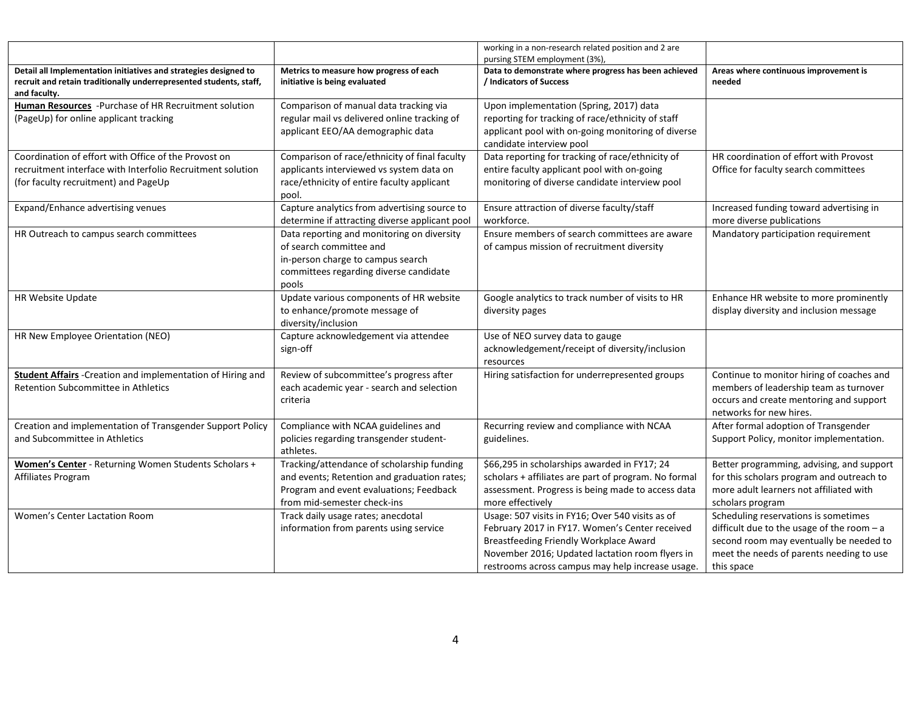|                                                                                                                                                            |                                                                                                                                                                     | working in a non-research related position and 2 are<br>pursing STEM employment (3%),                                                                                                                                                               |                                                                                                                                                                                          |
|------------------------------------------------------------------------------------------------------------------------------------------------------------|---------------------------------------------------------------------------------------------------------------------------------------------------------------------|-----------------------------------------------------------------------------------------------------------------------------------------------------------------------------------------------------------------------------------------------------|------------------------------------------------------------------------------------------------------------------------------------------------------------------------------------------|
| Detail all Implementation initiatives and strategies designed to<br>recruit and retain traditionally underrepresented students, staff,<br>and faculty.     | Metrics to measure how progress of each<br>initiative is being evaluated                                                                                            | Data to demonstrate where progress has been achieved<br>/ Indicators of Success                                                                                                                                                                     | Areas where continuous improvement is<br>needed                                                                                                                                          |
| Human Resources - Purchase of HR Recruitment solution<br>(PageUp) for online applicant tracking                                                            | Comparison of manual data tracking via<br>regular mail vs delivered online tracking of<br>applicant EEO/AA demographic data                                         | Upon implementation (Spring, 2017) data<br>reporting for tracking of race/ethnicity of staff<br>applicant pool with on-going monitoring of diverse<br>candidate interview pool                                                                      |                                                                                                                                                                                          |
| Coordination of effort with Office of the Provost on<br>recruitment interface with Interfolio Recruitment solution<br>(for faculty recruitment) and PageUp | Comparison of race/ethnicity of final faculty<br>applicants interviewed vs system data on<br>race/ethnicity of entire faculty applicant<br>pool.                    | Data reporting for tracking of race/ethnicity of<br>entire faculty applicant pool with on-going<br>monitoring of diverse candidate interview pool                                                                                                   | HR coordination of effort with Provost<br>Office for faculty search committees                                                                                                           |
| Expand/Enhance advertising venues                                                                                                                          | Capture analytics from advertising source to<br>determine if attracting diverse applicant pool                                                                      | Ensure attraction of diverse faculty/staff<br>workforce.                                                                                                                                                                                            | Increased funding toward advertising in<br>more diverse publications                                                                                                                     |
| HR Outreach to campus search committees                                                                                                                    | Data reporting and monitoring on diversity<br>of search committee and<br>in-person charge to campus search<br>committees regarding diverse candidate<br>pools       | Ensure members of search committees are aware<br>of campus mission of recruitment diversity                                                                                                                                                         | Mandatory participation requirement                                                                                                                                                      |
| HR Website Update                                                                                                                                          | Update various components of HR website<br>to enhance/promote message of<br>diversity/inclusion                                                                     | Google analytics to track number of visits to HR<br>diversity pages                                                                                                                                                                                 | Enhance HR website to more prominently<br>display diversity and inclusion message                                                                                                        |
| HR New Employee Orientation (NEO)                                                                                                                          | Capture acknowledgement via attendee<br>sign-off                                                                                                                    | Use of NEO survey data to gauge<br>acknowledgement/receipt of diversity/inclusion<br>resources                                                                                                                                                      |                                                                                                                                                                                          |
| <b>Student Affairs</b> - Creation and implementation of Hiring and<br>Retention Subcommittee in Athletics                                                  | Review of subcommittee's progress after<br>each academic year - search and selection<br>criteria                                                                    | Hiring satisfaction for underrepresented groups                                                                                                                                                                                                     | Continue to monitor hiring of coaches and<br>members of leadership team as turnover<br>occurs and create mentoring and support<br>networks for new hires.                                |
| Creation and implementation of Transgender Support Policy<br>and Subcommittee in Athletics                                                                 | Compliance with NCAA guidelines and<br>policies regarding transgender student-<br>athletes.                                                                         | Recurring review and compliance with NCAA<br>guidelines.                                                                                                                                                                                            | After formal adoption of Transgender<br>Support Policy, monitor implementation.                                                                                                          |
| Women's Center - Returning Women Students Scholars +<br>Affiliates Program                                                                                 | Tracking/attendance of scholarship funding<br>and events; Retention and graduation rates;<br>Program and event evaluations; Feedback<br>from mid-semester check-ins | \$66,295 in scholarships awarded in FY17; 24<br>scholars + affiliates are part of program. No formal<br>assessment. Progress is being made to access data<br>more effectively                                                                       | Better programming, advising, and support<br>for this scholars program and outreach to<br>more adult learners not affiliated with<br>scholars program                                    |
| Women's Center Lactation Room                                                                                                                              | Track daily usage rates; anecdotal<br>information from parents using service                                                                                        | Usage: 507 visits in FY16; Over 540 visits as of<br>February 2017 in FY17. Women's Center received<br>Breastfeeding Friendly Workplace Award<br>November 2016; Updated lactation room flyers in<br>restrooms across campus may help increase usage. | Scheduling reservations is sometimes<br>difficult due to the usage of the room $-a$<br>second room may eventually be needed to<br>meet the needs of parents needing to use<br>this space |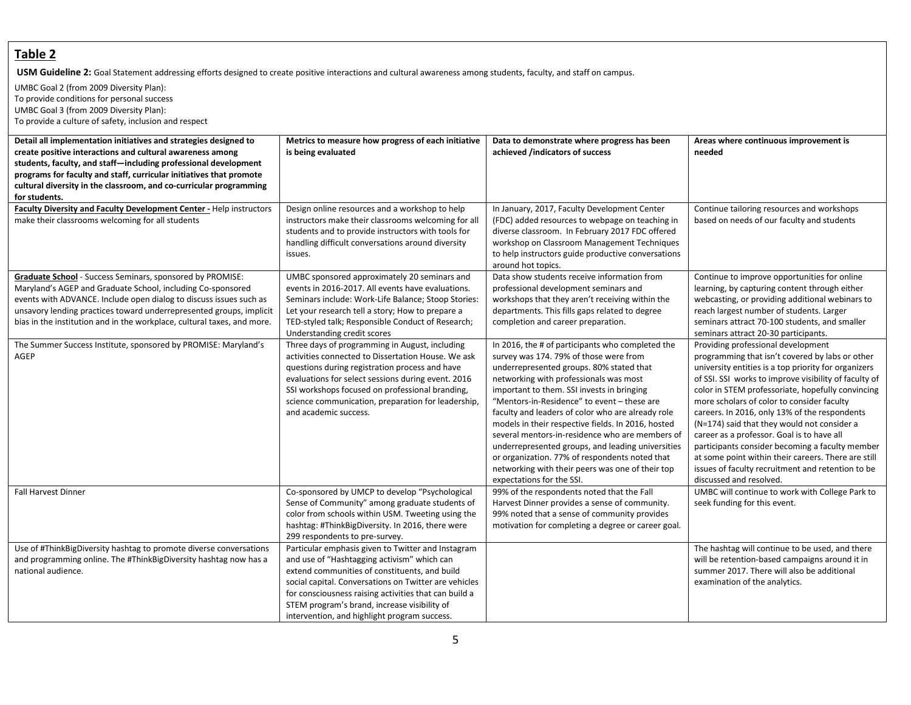### **Table 2**

USM Guideline 2: Goal Statement addressing efforts designed to create positive interactions and cultural awareness among students, faculty, and staff on campus.

UMBC Goal 2 (from 2009 Diversity Plan): To provide conditions for personal success UMBC Goal 3 (from 2009 Diversity Plan): To provide a culture of safety, inclusion and respect

| Detail all implementation initiatives and strategies designed to<br>create positive interactions and cultural awareness among<br>students, faculty, and staff-including professional development<br>programs for faculty and staff, curricular initiatives that promote<br>cultural diversity in the classroom, and co-curricular programming<br>for students. | Metrics to measure how progress of each initiative<br>is being evaluated                                                                                                                                                                                                                                                                                             | Data to demonstrate where progress has been<br>achieved /indicators of success                                                                                                                                                                                                                                                                                                                                                                                                                                                                                                                                                      | Areas where continuous improvement is<br>needed                                                                                                                                                                                                                                                                                                                                                                                                                                                                                                                                                                                                   |
|----------------------------------------------------------------------------------------------------------------------------------------------------------------------------------------------------------------------------------------------------------------------------------------------------------------------------------------------------------------|----------------------------------------------------------------------------------------------------------------------------------------------------------------------------------------------------------------------------------------------------------------------------------------------------------------------------------------------------------------------|-------------------------------------------------------------------------------------------------------------------------------------------------------------------------------------------------------------------------------------------------------------------------------------------------------------------------------------------------------------------------------------------------------------------------------------------------------------------------------------------------------------------------------------------------------------------------------------------------------------------------------------|---------------------------------------------------------------------------------------------------------------------------------------------------------------------------------------------------------------------------------------------------------------------------------------------------------------------------------------------------------------------------------------------------------------------------------------------------------------------------------------------------------------------------------------------------------------------------------------------------------------------------------------------------|
| Faculty Diversity and Faculty Development Center - Help instructors<br>make their classrooms welcoming for all students                                                                                                                                                                                                                                        | Design online resources and a workshop to help<br>instructors make their classrooms welcoming for all<br>students and to provide instructors with tools for<br>handling difficult conversations around diversity<br>issues.                                                                                                                                          | In January, 2017, Faculty Development Center<br>(FDC) added resources to webpage on teaching in<br>diverse classroom. In February 2017 FDC offered<br>workshop on Classroom Management Techniques<br>to help instructors guide productive conversations<br>around hot topics.                                                                                                                                                                                                                                                                                                                                                       | Continue tailoring resources and workshops<br>based on needs of our faculty and students                                                                                                                                                                                                                                                                                                                                                                                                                                                                                                                                                          |
| Graduate School - Success Seminars, sponsored by PROMISE:<br>Maryland's AGEP and Graduate School, including Co-sponsored<br>events with ADVANCE. Include open dialog to discuss issues such as<br>unsavory lending practices toward underrepresented groups, implicit<br>bias in the institution and in the workplace, cultural taxes, and more.               | UMBC sponsored approximately 20 seminars and<br>events in 2016-2017. All events have evaluations.<br>Seminars include: Work-Life Balance; Stoop Stories:<br>Let your research tell a story; How to prepare a<br>TED-styled talk; Responsible Conduct of Research;<br>Understanding credit scores                                                                     | Data show students receive information from<br>professional development seminars and<br>workshops that they aren't receiving within the<br>departments. This fills gaps related to degree<br>completion and career preparation.                                                                                                                                                                                                                                                                                                                                                                                                     | Continue to improve opportunities for online<br>learning, by capturing content through either<br>webcasting, or providing additional webinars to<br>reach largest number of students. Larger<br>seminars attract 70-100 students, and smaller<br>seminars attract 20-30 participants.                                                                                                                                                                                                                                                                                                                                                             |
| The Summer Success Institute, sponsored by PROMISE: Maryland's<br>AGEP                                                                                                                                                                                                                                                                                         | Three days of programming in August, including<br>activities connected to Dissertation House. We ask<br>questions during registration process and have<br>evaluations for select sessions during event. 2016<br>SSI workshops focused on professional branding,<br>science communication, preparation for leadership,<br>and academic success.                       | In 2016, the # of participants who completed the<br>survey was 174. 79% of those were from<br>underrepresented groups. 80% stated that<br>networking with professionals was most<br>important to them. SSI invests in bringing<br>"Mentors-in-Residence" to event - these are<br>faculty and leaders of color who are already role<br>models in their respective fields. In 2016, hosted<br>several mentors-in-residence who are members of<br>underrepresented groups, and leading universities<br>or organization. 77% of respondents noted that<br>networking with their peers was one of their top<br>expectations for the SSI. | Providing professional development<br>programming that isn't covered by labs or other<br>university entities is a top priority for organizers<br>of SSI. SSI works to improve visibility of faculty of<br>color in STEM professoriate, hopefully convincing<br>more scholars of color to consider faculty<br>careers. In 2016, only 13% of the respondents<br>(N=174) said that they would not consider a<br>career as a professor. Goal is to have all<br>participants consider becoming a faculty member<br>at some point within their careers. There are still<br>issues of faculty recruitment and retention to be<br>discussed and resolved. |
| <b>Fall Harvest Dinner</b>                                                                                                                                                                                                                                                                                                                                     | Co-sponsored by UMCP to develop "Psychological<br>Sense of Community" among graduate students of<br>color from schools within USM. Tweeting using the<br>hashtag: #ThinkBigDiversity. In 2016, there were<br>299 respondents to pre-survey.                                                                                                                          | 99% of the respondents noted that the Fall<br>Harvest Dinner provides a sense of community.<br>99% noted that a sense of community provides<br>motivation for completing a degree or career goal.                                                                                                                                                                                                                                                                                                                                                                                                                                   | UMBC will continue to work with College Park to<br>seek funding for this event.                                                                                                                                                                                                                                                                                                                                                                                                                                                                                                                                                                   |
| Use of #ThinkBigDiversity hashtag to promote diverse conversations<br>and programming online. The #ThinkBigDiversity hashtag now has a<br>national audience.                                                                                                                                                                                                   | Particular emphasis given to Twitter and Instagram<br>and use of "Hashtagging activism" which can<br>extend communities of constituents, and build<br>social capital. Conversations on Twitter are vehicles<br>for consciousness raising activities that can build a<br>STEM program's brand, increase visibility of<br>intervention, and highlight program success. |                                                                                                                                                                                                                                                                                                                                                                                                                                                                                                                                                                                                                                     | The hashtag will continue to be used, and there<br>will be retention-based campaigns around it in<br>summer 2017. There will also be additional<br>examination of the analytics.                                                                                                                                                                                                                                                                                                                                                                                                                                                                  |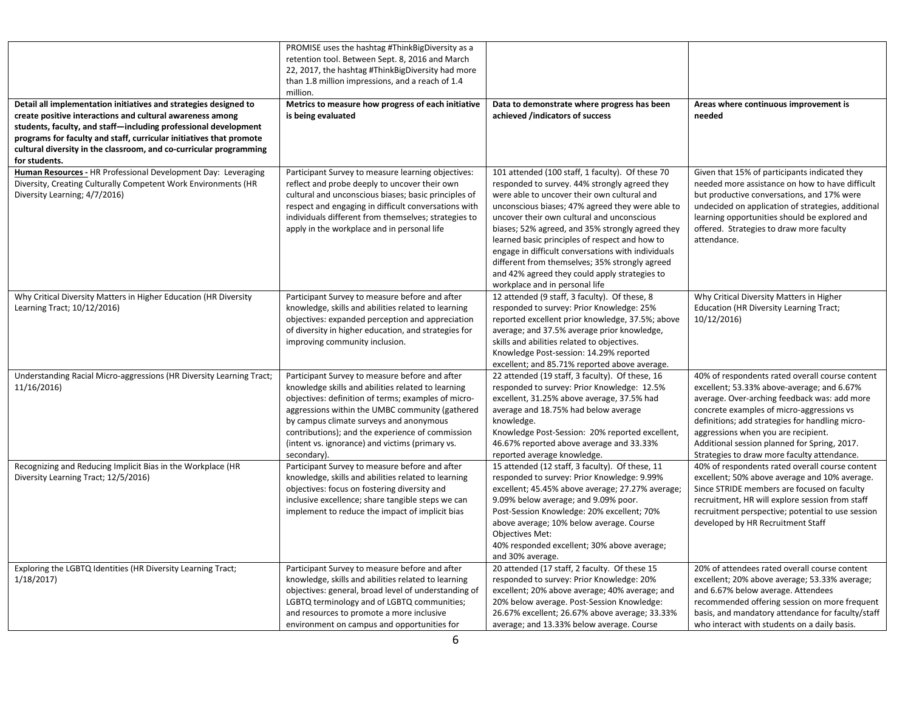| Detail all implementation initiatives and strategies designed to<br>create positive interactions and cultural awareness among<br>students, faculty, and staff—including professional development<br>programs for faculty and staff, curricular initiatives that promote | PROMISE uses the hashtag #ThinkBigDiversity as a<br>retention tool. Between Sept. 8, 2016 and March<br>22, 2017, the hashtag #ThinkBigDiversity had more<br>than 1.8 million impressions, and a reach of 1.4<br>million.<br>Metrics to measure how progress of each initiative<br>is being evaluated                                                                            | Data to demonstrate where progress has been<br>achieved /indicators of success                                                                                                                                                                                                                                                                                                                                                                                                                                                                      | Areas where continuous improvement is<br>needed                                                                                                                                                                                                                                                                                                                                     |
|-------------------------------------------------------------------------------------------------------------------------------------------------------------------------------------------------------------------------------------------------------------------------|---------------------------------------------------------------------------------------------------------------------------------------------------------------------------------------------------------------------------------------------------------------------------------------------------------------------------------------------------------------------------------|-----------------------------------------------------------------------------------------------------------------------------------------------------------------------------------------------------------------------------------------------------------------------------------------------------------------------------------------------------------------------------------------------------------------------------------------------------------------------------------------------------------------------------------------------------|-------------------------------------------------------------------------------------------------------------------------------------------------------------------------------------------------------------------------------------------------------------------------------------------------------------------------------------------------------------------------------------|
| cultural diversity in the classroom, and co-curricular programming<br>for students.<br>Human Resources - HR Professional Development Day: Leveraging<br>Diversity, Creating Culturally Competent Work Environments (HR<br>Diversity Learning; 4/7/2016)                 | Participant Survey to measure learning objectives:<br>reflect and probe deeply to uncover their own<br>cultural and unconscious biases; basic principles of<br>respect and engaging in difficult conversations with<br>individuals different from themselves; strategies to<br>apply in the workplace and in personal life                                                      | 101 attended (100 staff, 1 faculty). Of these 70<br>responded to survey. 44% strongly agreed they<br>were able to uncover their own cultural and<br>unconscious biases; 47% agreed they were able to<br>uncover their own cultural and unconscious<br>biases; 52% agreed, and 35% strongly agreed they<br>learned basic principles of respect and how to<br>engage in difficult conversations with individuals<br>different from themselves; 35% strongly agreed<br>and 42% agreed they could apply strategies to<br>workplace and in personal life | Given that 15% of participants indicated they<br>needed more assistance on how to have difficult<br>but productive conversations, and 17% were<br>undecided on application of strategies, additional<br>learning opportunities should be explored and<br>offered. Strategies to draw more faculty<br>attendance.                                                                    |
| Why Critical Diversity Matters in Higher Education (HR Diversity<br>Learning Tract; 10/12/2016)                                                                                                                                                                         | Participant Survey to measure before and after<br>knowledge, skills and abilities related to learning<br>objectives: expanded perception and appreciation<br>of diversity in higher education, and strategies for<br>improving community inclusion.                                                                                                                             | 12 attended (9 staff, 3 faculty). Of these, 8<br>responded to survey: Prior Knowledge: 25%<br>reported excellent prior knowledge, 37.5%; above<br>average; and 37.5% average prior knowledge,<br>skills and abilities related to objectives.<br>Knowledge Post-session: 14.29% reported<br>excellent; and 85.71% reported above average.                                                                                                                                                                                                            | Why Critical Diversity Matters in Higher<br><b>Education (HR Diversity Learning Tract;</b><br>10/12/2016)                                                                                                                                                                                                                                                                           |
| Understanding Racial Micro-aggressions (HR Diversity Learning Tract;<br>11/16/2016)                                                                                                                                                                                     | Participant Survey to measure before and after<br>knowledge skills and abilities related to learning<br>objectives: definition of terms; examples of micro-<br>aggressions within the UMBC community (gathered<br>by campus climate surveys and anonymous<br>contributions); and the experience of commission<br>(intent vs. ignorance) and victims (primary vs.<br>secondary). | 22 attended (19 staff, 3 faculty). Of these, 16<br>responded to survey: Prior Knowledge: 12.5%<br>excellent, 31.25% above average, 37.5% had<br>average and 18.75% had below average<br>knowledge.<br>Knowledge Post-Session: 20% reported excellent,<br>46.67% reported above average and 33.33%<br>reported average knowledge.                                                                                                                                                                                                                    | 40% of respondents rated overall course content<br>excellent; 53.33% above-average; and 6.67%<br>average. Over-arching feedback was: add more<br>concrete examples of micro-aggressions vs<br>definitions; add strategies for handling micro-<br>aggressions when you are recipient.<br>Additional session planned for Spring, 2017.<br>Strategies to draw more faculty attendance. |
| Recognizing and Reducing Implicit Bias in the Workplace (HR<br>Diversity Learning Tract; 12/5/2016)                                                                                                                                                                     | Participant Survey to measure before and after<br>knowledge, skills and abilities related to learning<br>objectives: focus on fostering diversity and<br>inclusive excellence; share tangible steps we can<br>implement to reduce the impact of implicit bias                                                                                                                   | 15 attended (12 staff, 3 faculty). Of these, 11<br>responded to survey: Prior Knowledge: 9.99%<br>excellent; 45.45% above average; 27.27% average;<br>9.09% below average; and 9.09% poor.<br>Post-Session Knowledge: 20% excellent; 70%<br>above average; 10% below average. Course<br><b>Objectives Met:</b><br>40% responded excellent; 30% above average;<br>and 30% average.                                                                                                                                                                   | 40% of respondents rated overall course content<br>excellent; 50% above average and 10% average.<br>Since STRIDE members are focused on faculty<br>recruitment, HR will explore session from staff<br>recruitment perspective; potential to use session<br>developed by HR Recruitment Staff                                                                                        |
| Exploring the LGBTQ Identities (HR Diversity Learning Tract;<br>1/18/2017                                                                                                                                                                                               | Participant Survey to measure before and after<br>knowledge, skills and abilities related to learning<br>objectives: general, broad level of understanding of<br>LGBTQ terminology and of LGBTQ communities;<br>and resources to promote a more inclusive<br>environment on campus and opportunities for                                                                        | 20 attended (17 staff, 2 faculty. Of these 15<br>responded to survey: Prior Knowledge: 20%<br>excellent; 20% above average; 40% average; and<br>20% below average. Post-Session Knowledge:<br>26.67% excellent; 26.67% above average; 33.33%<br>average; and 13.33% below average. Course                                                                                                                                                                                                                                                           | 20% of attendees rated overall course content<br>excellent; 20% above average; 53.33% average;<br>and 6.67% below average. Attendees<br>recommended offering session on more frequent<br>basis, and mandatory attendance for faculty/staff<br>who interact with students on a daily basis.                                                                                          |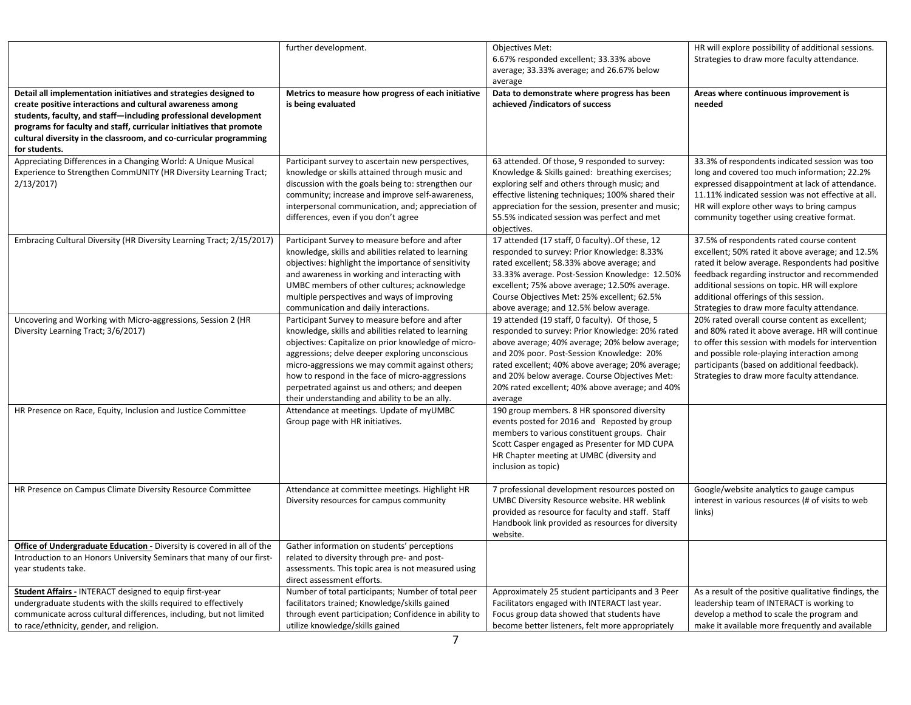|                                                                                                                 | further development.                                                                       | <b>Objectives Met:</b><br>6.67% responded excellent; 33.33% above                              | HR will explore possibility of additional sessions.<br>Strategies to draw more faculty attendance. |
|-----------------------------------------------------------------------------------------------------------------|--------------------------------------------------------------------------------------------|------------------------------------------------------------------------------------------------|----------------------------------------------------------------------------------------------------|
|                                                                                                                 |                                                                                            | average; 33.33% average; and 26.67% below                                                      |                                                                                                    |
|                                                                                                                 |                                                                                            | average                                                                                        |                                                                                                    |
| Detail all implementation initiatives and strategies designed to                                                | Metrics to measure how progress of each initiative                                         | Data to demonstrate where progress has been                                                    | Areas where continuous improvement is                                                              |
| create positive interactions and cultural awareness among                                                       | is being evaluated                                                                         | achieved /indicators of success                                                                | needed                                                                                             |
| students, faculty, and staff-including professional development                                                 |                                                                                            |                                                                                                |                                                                                                    |
| programs for faculty and staff, curricular initiatives that promote                                             |                                                                                            |                                                                                                |                                                                                                    |
| cultural diversity in the classroom, and co-curricular programming                                              |                                                                                            |                                                                                                |                                                                                                    |
| for students.                                                                                                   |                                                                                            |                                                                                                |                                                                                                    |
| Appreciating Differences in a Changing World: A Unique Musical                                                  | Participant survey to ascertain new perspectives,                                          | 63 attended. Of those, 9 responded to survey:                                                  | 33.3% of respondents indicated session was too                                                     |
| Experience to Strengthen CommUNITY (HR Diversity Learning Tract;                                                | knowledge or skills attained through music and                                             | Knowledge & Skills gained: breathing exercises;                                                | long and covered too much information; 22.2%                                                       |
| 2/13/2017                                                                                                       | discussion with the goals being to: strengthen our                                         | exploring self and others through music; and                                                   | expressed disappointment at lack of attendance.                                                    |
|                                                                                                                 | community; increase and improve self-awareness,                                            | effective listening techniques; 100% shared their                                              | 11.11% indicated session was not effective at all.                                                 |
|                                                                                                                 | interpersonal communication, and; appreciation of                                          | appreciation for the session, presenter and music;                                             | HR will explore other ways to bring campus                                                         |
|                                                                                                                 | differences, even if you don't agree                                                       | 55.5% indicated session was perfect and met                                                    | community together using creative format.                                                          |
|                                                                                                                 |                                                                                            | objectives.                                                                                    |                                                                                                    |
| Embracing Cultural Diversity (HR Diversity Learning Tract; 2/15/2017)                                           | Participant Survey to measure before and after                                             | 17 attended (17 staff, 0 faculty). Of these, 12                                                | 37.5% of respondents rated course content                                                          |
|                                                                                                                 | knowledge, skills and abilities related to learning                                        | responded to survey: Prior Knowledge: 8.33%                                                    | excellent; 50% rated it above average; and 12.5%                                                   |
|                                                                                                                 | objectives: highlight the importance of sensitivity                                        | rated excellent; 58.33% above average; and                                                     | rated it below average. Respondents had positive                                                   |
|                                                                                                                 | and awareness in working and interacting with                                              | 33.33% average. Post-Session Knowledge: 12.50%                                                 | feedback regarding instructor and recommended                                                      |
|                                                                                                                 | UMBC members of other cultures; acknowledge<br>multiple perspectives and ways of improving | excellent; 75% above average; 12.50% average.<br>Course Objectives Met: 25% excellent; 62.5%   | additional sessions on topic. HR will explore<br>additional offerings of this session.             |
|                                                                                                                 | communication and daily interactions.                                                      | above average; and 12.5% below average.                                                        | Strategies to draw more faculty attendance.                                                        |
| Uncovering and Working with Micro-aggressions, Session 2 (HR                                                    | Participant Survey to measure before and after                                             | 19 attended (19 staff, 0 faculty). Of those, 5                                                 | 20% rated overall course content as excellent;                                                     |
| Diversity Learning Tract; 3/6/2017)                                                                             | knowledge, skills and abilities related to learning                                        | responded to survey: Prior Knowledge: 20% rated                                                | and 80% rated it above average. HR will continue                                                   |
|                                                                                                                 | objectives: Capitalize on prior knowledge of micro-                                        | above average; 40% average; 20% below average;                                                 | to offer this session with models for intervention                                                 |
|                                                                                                                 | aggressions; delve deeper exploring unconscious                                            | and 20% poor. Post-Session Knowledge: 20%                                                      | and possible role-playing interaction among                                                        |
|                                                                                                                 | micro-aggressions we may commit against others;                                            | rated excellent; 40% above average; 20% average;                                               | participants (based on additional feedback).                                                       |
|                                                                                                                 | how to respond in the face of micro-aggressions                                            | and 20% below average. Course Objectives Met:                                                  | Strategies to draw more faculty attendance.                                                        |
|                                                                                                                 | perpetrated against us and others; and deepen                                              | 20% rated excellent; 40% above average; and 40%                                                |                                                                                                    |
|                                                                                                                 | their understanding and ability to be an ally.                                             | average                                                                                        |                                                                                                    |
| HR Presence on Race, Equity, Inclusion and Justice Committee                                                    | Attendance at meetings. Update of myUMBC                                                   | 190 group members. 8 HR sponsored diversity                                                    |                                                                                                    |
|                                                                                                                 | Group page with HR initiatives.                                                            | events posted for 2016 and Reposted by group                                                   |                                                                                                    |
|                                                                                                                 |                                                                                            | members to various constituent groups. Chair                                                   |                                                                                                    |
|                                                                                                                 |                                                                                            | Scott Casper engaged as Presenter for MD CUPA                                                  |                                                                                                    |
|                                                                                                                 |                                                                                            | HR Chapter meeting at UMBC (diversity and                                                      |                                                                                                    |
|                                                                                                                 |                                                                                            | inclusion as topic)                                                                            |                                                                                                    |
| HR Presence on Campus Climate Diversity Resource Committee                                                      | Attendance at committee meetings. Highlight HR                                             | 7 professional development resources posted on                                                 | Google/website analytics to gauge campus                                                           |
|                                                                                                                 | Diversity resources for campus community                                                   | UMBC Diversity Resource website. HR weblink                                                    | interest in various resources (# of visits to web                                                  |
|                                                                                                                 |                                                                                            | provided as resource for faculty and staff. Staff                                              | links)                                                                                             |
|                                                                                                                 |                                                                                            | Handbook link provided as resources for diversity                                              |                                                                                                    |
|                                                                                                                 |                                                                                            | website.                                                                                       |                                                                                                    |
| Office of Undergraduate Education - Diversity is covered in all of the                                          | Gather information on students' perceptions                                                |                                                                                                |                                                                                                    |
| Introduction to an Honors University Seminars that many of our first-                                           | related to diversity through pre- and post-                                                |                                                                                                |                                                                                                    |
| year students take.                                                                                             | assessments. This topic area is not measured using                                         |                                                                                                |                                                                                                    |
|                                                                                                                 | direct assessment efforts.                                                                 |                                                                                                |                                                                                                    |
| Student Affairs - INTERACT designed to equip first-year                                                         | Number of total participants; Number of total peer                                         | Approximately 25 student participants and 3 Peer                                               | As a result of the positive qualitative findings, the                                              |
| undergraduate students with the skills required to effectively                                                  | facilitators trained; Knowledge/skills gained                                              | Facilitators engaged with INTERACT last year.                                                  | leadership team of INTERACT is working to                                                          |
| communicate across cultural differences, including, but not limited<br>to race/ethnicity, gender, and religion. | through event participation; Confidence in ability to<br>utilize knowledge/skills gained   | Focus group data showed that students have<br>become better listeners, felt more appropriately | develop a method to scale the program and<br>make it available more frequently and available       |
|                                                                                                                 |                                                                                            |                                                                                                |                                                                                                    |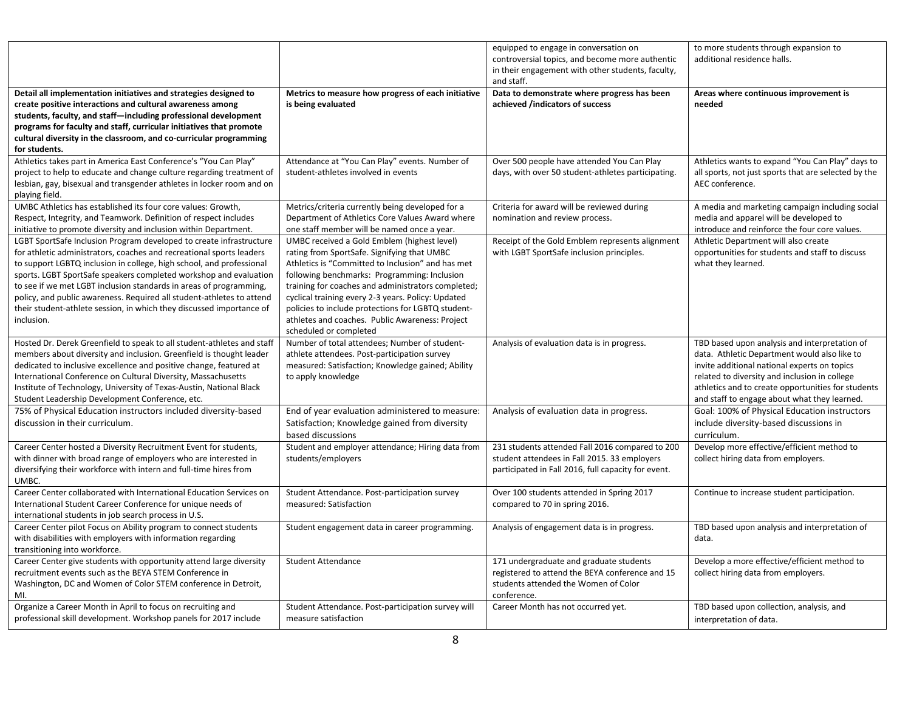|                                                                                                                                                                                                                                                                                                                                                                                                                                                                                                                               |                                                                                                                                                                                                                                                                                                                                                                                                                                                | equipped to engage in conversation on<br>controversial topics, and become more authentic<br>in their engagement with other students, faculty,<br>and staff. | to more students through expansion to<br>additional residence halls.                                                                                                                                                                                                                                 |
|-------------------------------------------------------------------------------------------------------------------------------------------------------------------------------------------------------------------------------------------------------------------------------------------------------------------------------------------------------------------------------------------------------------------------------------------------------------------------------------------------------------------------------|------------------------------------------------------------------------------------------------------------------------------------------------------------------------------------------------------------------------------------------------------------------------------------------------------------------------------------------------------------------------------------------------------------------------------------------------|-------------------------------------------------------------------------------------------------------------------------------------------------------------|------------------------------------------------------------------------------------------------------------------------------------------------------------------------------------------------------------------------------------------------------------------------------------------------------|
| Detail all implementation initiatives and strategies designed to<br>create positive interactions and cultural awareness among<br>students, faculty, and staff-including professional development<br>programs for faculty and staff, curricular initiatives that promote<br>cultural diversity in the classroom, and co-curricular programming<br>for students.                                                                                                                                                                | Metrics to measure how progress of each initiative<br>is being evaluated                                                                                                                                                                                                                                                                                                                                                                       | Data to demonstrate where progress has been<br>achieved /indicators of success                                                                              | Areas where continuous improvement is<br>needed                                                                                                                                                                                                                                                      |
| Athletics takes part in America East Conference's "You Can Play"<br>project to help to educate and change culture regarding treatment of<br>lesbian, gay, bisexual and transgender athletes in locker room and on<br>playing field.                                                                                                                                                                                                                                                                                           | Attendance at "You Can Play" events. Number of<br>student-athletes involved in events                                                                                                                                                                                                                                                                                                                                                          | Over 500 people have attended You Can Play<br>days, with over 50 student-athletes participating.                                                            | Athletics wants to expand "You Can Play" days to<br>all sports, not just sports that are selected by the<br>AEC conference.                                                                                                                                                                          |
| UMBC Athletics has established its four core values: Growth,<br>Respect, Integrity, and Teamwork. Definition of respect includes<br>initiative to promote diversity and inclusion within Department.                                                                                                                                                                                                                                                                                                                          | Metrics/criteria currently being developed for a<br>Department of Athletics Core Values Award where<br>one staff member will be named once a year.                                                                                                                                                                                                                                                                                             | Criteria for award will be reviewed during<br>nomination and review process.                                                                                | A media and marketing campaign including social<br>media and apparel will be developed to<br>introduce and reinforce the four core values.                                                                                                                                                           |
| LGBT SportSafe Inclusion Program developed to create infrastructure<br>for athletic administrators, coaches and recreational sports leaders<br>to support LGBTQ inclusion in college, high school, and professional<br>sports. LGBT SportSafe speakers completed workshop and evaluation<br>to see if we met LGBT inclusion standards in areas of programming,<br>policy, and public awareness. Required all student-athletes to attend<br>their student-athlete session, in which they discussed importance of<br>inclusion. | UMBC received a Gold Emblem (highest level)<br>rating from SportSafe. Signifying that UMBC<br>Athletics is "Committed to Inclusion" and has met<br>following benchmarks: Programming: Inclusion<br>training for coaches and administrators completed;<br>cyclical training every 2-3 years. Policy: Updated<br>policies to include protections for LGBTQ student-<br>athletes and coaches. Public Awareness: Project<br>scheduled or completed | Receipt of the Gold Emblem represents alignment<br>with LGBT SportSafe inclusion principles.                                                                | Athletic Department will also create<br>opportunities for students and staff to discuss<br>what they learned.                                                                                                                                                                                        |
| Hosted Dr. Derek Greenfield to speak to all student-athletes and staff<br>members about diversity and inclusion. Greenfield is thought leader<br>dedicated to inclusive excellence and positive change, featured at<br>International Conference on Cultural Diversity, Massachusetts<br>Institute of Technology, University of Texas-Austin, National Black<br>Student Leadership Development Conference, etc.                                                                                                                | Number of total attendees; Number of student-<br>athlete attendees. Post-participation survey<br>measured: Satisfaction; Knowledge gained; Ability<br>to apply knowledge                                                                                                                                                                                                                                                                       | Analysis of evaluation data is in progress.                                                                                                                 | TBD based upon analysis and interpretation of<br>data. Athletic Department would also like to<br>invite additional national experts on topics<br>related to diversity and inclusion in college<br>athletics and to create opportunities for students<br>and staff to engage about what they learned. |
| 75% of Physical Education instructors included diversity-based<br>discussion in their curriculum.                                                                                                                                                                                                                                                                                                                                                                                                                             | End of year evaluation administered to measure:<br>Satisfaction; Knowledge gained from diversity<br>based discussions                                                                                                                                                                                                                                                                                                                          | Analysis of evaluation data in progress.                                                                                                                    | Goal: 100% of Physical Education instructors<br>include diversity-based discussions in<br>curriculum.                                                                                                                                                                                                |
| Career Center hosted a Diversity Recruitment Event for students,<br>with dinner with broad range of employers who are interested in<br>diversifying their workforce with intern and full-time hires from<br>UMBC.                                                                                                                                                                                                                                                                                                             | Student and employer attendance; Hiring data from<br>students/employers                                                                                                                                                                                                                                                                                                                                                                        | 231 students attended Fall 2016 compared to 200<br>student attendees in Fall 2015. 33 employers<br>participated in Fall 2016, full capacity for event.      | Develop more effective/efficient method to<br>collect hiring data from employers.                                                                                                                                                                                                                    |
| Career Center collaborated with International Education Services on<br>International Student Career Conference for unique needs of<br>international students in job search process in U.S.                                                                                                                                                                                                                                                                                                                                    | Student Attendance. Post-participation survey<br>measured: Satisfaction                                                                                                                                                                                                                                                                                                                                                                        | Over 100 students attended in Spring 2017<br>compared to 70 in spring 2016.                                                                                 | Continue to increase student participation.                                                                                                                                                                                                                                                          |
| Career Center pilot Focus on Ability program to connect students<br>with disabilities with employers with information regarding<br>transitioning into workforce.                                                                                                                                                                                                                                                                                                                                                              | Student engagement data in career programming.                                                                                                                                                                                                                                                                                                                                                                                                 | Analysis of engagement data is in progress.                                                                                                                 | TBD based upon analysis and interpretation of<br>data.                                                                                                                                                                                                                                               |
| Career Center give students with opportunity attend large diversity<br>recruitment events such as the BEYA STEM Conference in<br>Washington, DC and Women of Color STEM conference in Detroit,<br>MI.                                                                                                                                                                                                                                                                                                                         | <b>Student Attendance</b>                                                                                                                                                                                                                                                                                                                                                                                                                      | 171 undergraduate and graduate students<br>registered to attend the BEYA conference and 15<br>students attended the Women of Color<br>conference.           | Develop a more effective/efficient method to<br>collect hiring data from employers.                                                                                                                                                                                                                  |
| Organize a Career Month in April to focus on recruiting and<br>professional skill development. Workshop panels for 2017 include                                                                                                                                                                                                                                                                                                                                                                                               | Student Attendance. Post-participation survey will<br>measure satisfaction                                                                                                                                                                                                                                                                                                                                                                     | Career Month has not occurred yet.                                                                                                                          | TBD based upon collection, analysis, and<br>interpretation of data.                                                                                                                                                                                                                                  |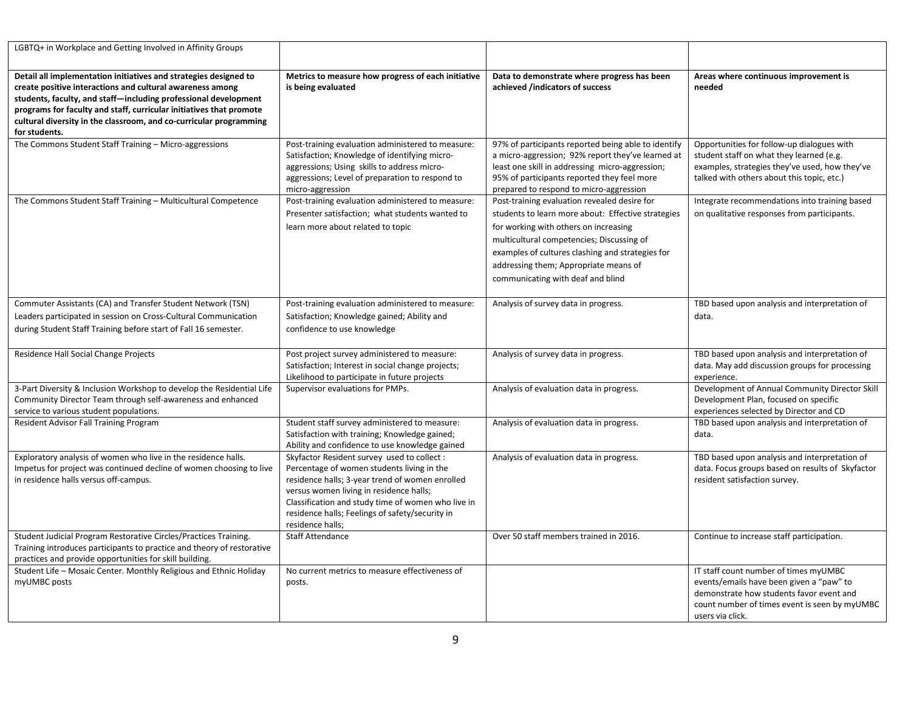| LGBTQ+ in Workplace and Getting Involved in Affinity Groups                                                                                                                                                                                                                                                                                                    |                                                                                                                                                                                                                                                                                                                      |                                                                                                                                                                                                                                                                                                                            |                                                                                                                                                                                                    |
|----------------------------------------------------------------------------------------------------------------------------------------------------------------------------------------------------------------------------------------------------------------------------------------------------------------------------------------------------------------|----------------------------------------------------------------------------------------------------------------------------------------------------------------------------------------------------------------------------------------------------------------------------------------------------------------------|----------------------------------------------------------------------------------------------------------------------------------------------------------------------------------------------------------------------------------------------------------------------------------------------------------------------------|----------------------------------------------------------------------------------------------------------------------------------------------------------------------------------------------------|
| Detail all implementation initiatives and strategies designed to<br>create positive interactions and cultural awareness among<br>students, faculty, and staff-including professional development<br>programs for faculty and staff, curricular initiatives that promote<br>cultural diversity in the classroom, and co-curricular programming<br>for students. | Metrics to measure how progress of each initiative<br>is being evaluated                                                                                                                                                                                                                                             | Data to demonstrate where progress has been<br>achieved /indicators of success                                                                                                                                                                                                                                             | Areas where continuous improvement is<br>needed                                                                                                                                                    |
| The Commons Student Staff Training - Micro-aggressions                                                                                                                                                                                                                                                                                                         | Post-training evaluation administered to measure:<br>Satisfaction; Knowledge of identifying micro-<br>aggressions; Using skills to address micro-<br>aggressions; Level of preparation to respond to<br>micro-aggression                                                                                             | 97% of participants reported being able to identify<br>a micro-aggression; 92% report they've learned at<br>least one skill in addressing micro-aggression;<br>95% of participants reported they feel more<br>prepared to respond to micro-aggression                                                                      | Opportunities for follow-up dialogues with<br>student staff on what they learned (e.g.<br>examples, strategies they've used, how they've<br>talked with others about this topic, etc.)             |
| The Commons Student Staff Training - Multicultural Competence                                                                                                                                                                                                                                                                                                  | Post-training evaluation administered to measure:<br>Presenter satisfaction; what students wanted to<br>learn more about related to topic                                                                                                                                                                            | Post-training evaluation revealed desire for<br>students to learn more about: Effective strategies<br>for working with others on increasing<br>multicultural competencies; Discussing of<br>examples of cultures clashing and strategies for<br>addressing them; Appropriate means of<br>communicating with deaf and blind | Integrate recommendations into training based<br>on qualitative responses from participants.                                                                                                       |
| Commuter Assistants (CA) and Transfer Student Network (TSN)<br>Leaders participated in session on Cross-Cultural Communication<br>during Student Staff Training before start of Fall 16 semester.                                                                                                                                                              | Post-training evaluation administered to measure:<br>Satisfaction; Knowledge gained; Ability and<br>confidence to use knowledge                                                                                                                                                                                      | Analysis of survey data in progress.                                                                                                                                                                                                                                                                                       | TBD based upon analysis and interpretation of<br>data.                                                                                                                                             |
| Residence Hall Social Change Projects                                                                                                                                                                                                                                                                                                                          | Post project survey administered to measure:<br>Satisfaction; Interest in social change projects;<br>Likelihood to participate in future projects                                                                                                                                                                    | Analysis of survey data in progress.                                                                                                                                                                                                                                                                                       | TBD based upon analysis and interpretation of<br>data. May add discussion groups for processing<br>experience.                                                                                     |
| 3-Part Diversity & Inclusion Workshop to develop the Residential Life<br>Community Director Team through self-awareness and enhanced<br>service to various student populations.                                                                                                                                                                                | Supervisor evaluations for PMPs.                                                                                                                                                                                                                                                                                     | Analysis of evaluation data in progress.                                                                                                                                                                                                                                                                                   | Development of Annual Community Director Skill<br>Development Plan, focused on specific<br>experiences selected by Director and CD                                                                 |
| Resident Advisor Fall Training Program                                                                                                                                                                                                                                                                                                                         | Student staff survey administered to measure:<br>Satisfaction with training; Knowledge gained;<br>Ability and confidence to use knowledge gained                                                                                                                                                                     | Analysis of evaluation data in progress.                                                                                                                                                                                                                                                                                   | TBD based upon analysis and interpretation of<br>data.                                                                                                                                             |
| Exploratory analysis of women who live in the residence halls.<br>Impetus for project was continued decline of women choosing to live<br>in residence halls versus off-campus.                                                                                                                                                                                 | Skyfactor Resident survey used to collect :<br>Percentage of women students living in the<br>residence halls; 3-year trend of women enrolled<br>versus women living in residence halls;<br>Classification and study time of women who live in<br>residence halls; Feelings of safety/security in<br>residence halls; | Analysis of evaluation data in progress.                                                                                                                                                                                                                                                                                   | TBD based upon analysis and interpretation of<br>data. Focus groups based on results of Skyfactor<br>resident satisfaction survey.                                                                 |
| Student Judicial Program Restorative Circles/Practices Training.<br>Training introduces participants to practice and theory of restorative<br>practices and provide opportunities for skill building.                                                                                                                                                          | <b>Staff Attendance</b>                                                                                                                                                                                                                                                                                              | Over 50 staff members trained in 2016.                                                                                                                                                                                                                                                                                     | Continue to increase staff participation.                                                                                                                                                          |
| Student Life - Mosaic Center. Monthly Religious and Ethnic Holiday<br>myUMBC posts                                                                                                                                                                                                                                                                             | No current metrics to measure effectiveness of<br>posts.                                                                                                                                                                                                                                                             |                                                                                                                                                                                                                                                                                                                            | IT staff count number of times myUMBC<br>events/emails have been given a "paw" to<br>demonstrate how students favor event and<br>count number of times event is seen by myUMBC<br>users via click. |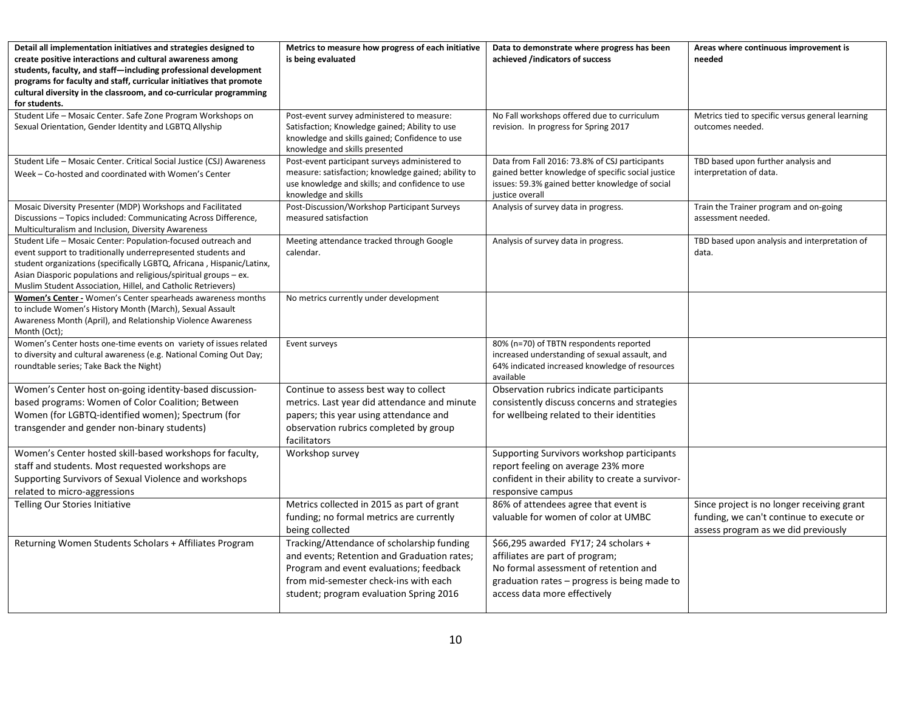| Detail all implementation initiatives and strategies designed to<br>create positive interactions and cultural awareness among<br>students, faculty, and staff-including professional development<br>programs for faculty and staff, curricular initiatives that promote<br>cultural diversity in the classroom, and co-curricular programming<br>for students. | Metrics to measure how progress of each initiative<br>is being evaluated                                                                                                                                                 | Data to demonstrate where progress has been<br>achieved /indicators of success                                                                                                                   | Areas where continuous improvement is<br>needed                                                                               |
|----------------------------------------------------------------------------------------------------------------------------------------------------------------------------------------------------------------------------------------------------------------------------------------------------------------------------------------------------------------|--------------------------------------------------------------------------------------------------------------------------------------------------------------------------------------------------------------------------|--------------------------------------------------------------------------------------------------------------------------------------------------------------------------------------------------|-------------------------------------------------------------------------------------------------------------------------------|
| Student Life - Mosaic Center. Safe Zone Program Workshops on<br>Sexual Orientation, Gender Identity and LGBTQ Allyship                                                                                                                                                                                                                                         | Post-event survey administered to measure:<br>Satisfaction; Knowledge gained; Ability to use<br>knowledge and skills gained; Confidence to use<br>knowledge and skills presented                                         | No Fall workshops offered due to curriculum<br>revision. In progress for Spring 2017                                                                                                             | Metrics tied to specific versus general learning<br>outcomes needed.                                                          |
| Student Life - Mosaic Center. Critical Social Justice (CSJ) Awareness<br>Week - Co-hosted and coordinated with Women's Center                                                                                                                                                                                                                                  | Post-event participant surveys administered to<br>measure: satisfaction; knowledge gained; ability to<br>use knowledge and skills; and confidence to use<br>knowledge and skills                                         | Data from Fall 2016: 73.8% of CSJ participants<br>gained better knowledge of specific social justice<br>issues: 59.3% gained better knowledge of social<br>justice overall                       | TBD based upon further analysis and<br>interpretation of data.                                                                |
| Mosaic Diversity Presenter (MDP) Workshops and Facilitated<br>Discussions - Topics included: Communicating Across Difference,<br>Multiculturalism and Inclusion, Diversity Awareness                                                                                                                                                                           | Post-Discussion/Workshop Participant Surveys<br>measured satisfaction                                                                                                                                                    | Analysis of survey data in progress.                                                                                                                                                             | Train the Trainer program and on-going<br>assessment needed.                                                                  |
| Student Life - Mosaic Center: Population-focused outreach and<br>event support to traditionally underrepresented students and<br>student organizations (specifically LGBTQ, Africana, Hispanic/Latinx,<br>Asian Diasporic populations and religious/spiritual groups - ex.<br>Muslim Student Association, Hillel, and Catholic Retrievers)                     | Meeting attendance tracked through Google<br>calendar.                                                                                                                                                                   | Analysis of survey data in progress.                                                                                                                                                             | TBD based upon analysis and interpretation of<br>data.                                                                        |
| Women's Center - Women's Center spearheads awareness months<br>to include Women's History Month (March), Sexual Assault<br>Awareness Month (April), and Relationship Violence Awareness<br>Month (Oct);                                                                                                                                                        | No metrics currently under development                                                                                                                                                                                   |                                                                                                                                                                                                  |                                                                                                                               |
| Women's Center hosts one-time events on variety of issues related<br>to diversity and cultural awareness (e.g. National Coming Out Day;<br>roundtable series; Take Back the Night)                                                                                                                                                                             | Event surveys                                                                                                                                                                                                            | 80% (n=70) of TBTN respondents reported<br>increased understanding of sexual assault, and<br>64% indicated increased knowledge of resources<br>available                                         |                                                                                                                               |
| Women's Center host on-going identity-based discussion-<br>based programs: Women of Color Coalition; Between<br>Women (for LGBTQ-identified women); Spectrum (for<br>transgender and gender non-binary students)                                                                                                                                               | Continue to assess best way to collect<br>metrics. Last year did attendance and minute<br>papers; this year using attendance and<br>observation rubrics completed by group<br>facilitators                               | Observation rubrics indicate participants<br>consistently discuss concerns and strategies<br>for wellbeing related to their identities                                                           |                                                                                                                               |
| Women's Center hosted skill-based workshops for faculty,<br>staff and students. Most requested workshops are<br>Supporting Survivors of Sexual Violence and workshops<br>related to micro-aggressions                                                                                                                                                          | Workshop survey                                                                                                                                                                                                          | Supporting Survivors workshop participants<br>report feeling on average 23% more<br>confident in their ability to create a survivor-<br>responsive campus                                        |                                                                                                                               |
| Telling Our Stories Initiative                                                                                                                                                                                                                                                                                                                                 | Metrics collected in 2015 as part of grant<br>funding; no formal metrics are currently<br>being collected                                                                                                                | 86% of attendees agree that event is<br>valuable for women of color at UMBC                                                                                                                      | Since project is no longer receiving grant<br>funding, we can't continue to execute or<br>assess program as we did previously |
| Returning Women Students Scholars + Affiliates Program                                                                                                                                                                                                                                                                                                         | Tracking/Attendance of scholarship funding<br>and events; Retention and Graduation rates;<br>Program and event evaluations; feedback<br>from mid-semester check-ins with each<br>student; program evaluation Spring 2016 | \$66,295 awarded FY17; 24 scholars +<br>affiliates are part of program;<br>No formal assessment of retention and<br>graduation rates - progress is being made to<br>access data more effectively |                                                                                                                               |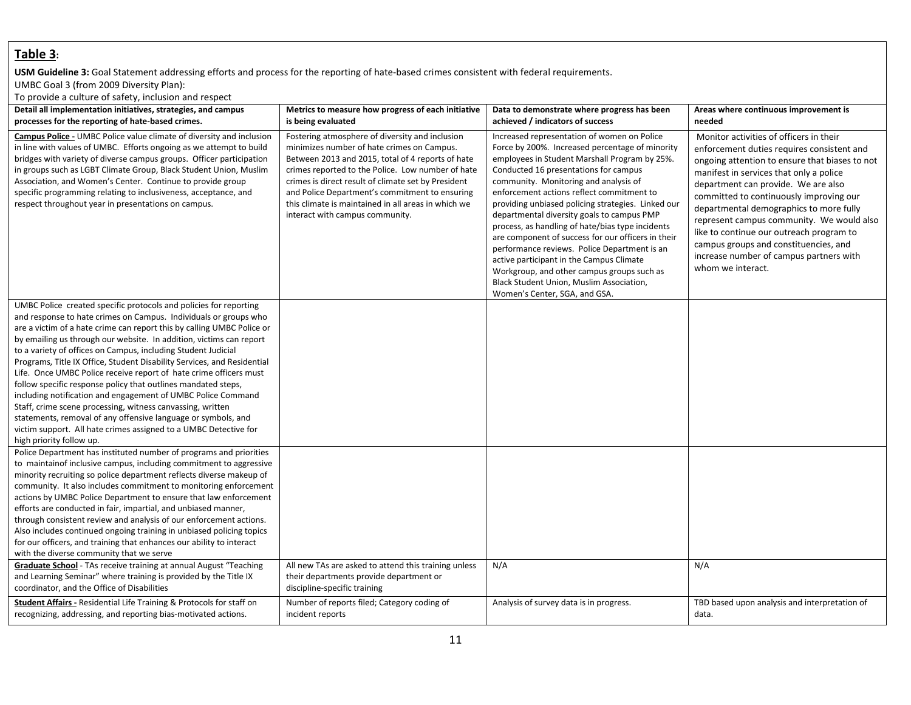## **Table 3:**

#### **USM Guideline 3:** Goal Statement addressing efforts and process for the reporting of hate-based crimes consistent with federal requirements. UMBC Goal 3 (from 2009 Diversity Plan):

To provide a culture of safety, inclusion and respect

| Detail all implementation initiatives, strategies, and campus                                                                                                                                                                                                                                                                                                                                                                                                                                                                                                                                                                                                                                                                                                                                                                                                                       | Metrics to measure how progress of each initiative                                                                                                                                                                                                                                                                                                                                                         | Data to demonstrate where progress has been                                                                                                                                                                                                                                                                                                                                                                                                                                                                                                                                                                                                                                                                         | Areas where continuous improvement is                                                                                                                                                                                                                                                                                                                                                                                                                                                                             |
|-------------------------------------------------------------------------------------------------------------------------------------------------------------------------------------------------------------------------------------------------------------------------------------------------------------------------------------------------------------------------------------------------------------------------------------------------------------------------------------------------------------------------------------------------------------------------------------------------------------------------------------------------------------------------------------------------------------------------------------------------------------------------------------------------------------------------------------------------------------------------------------|------------------------------------------------------------------------------------------------------------------------------------------------------------------------------------------------------------------------------------------------------------------------------------------------------------------------------------------------------------------------------------------------------------|---------------------------------------------------------------------------------------------------------------------------------------------------------------------------------------------------------------------------------------------------------------------------------------------------------------------------------------------------------------------------------------------------------------------------------------------------------------------------------------------------------------------------------------------------------------------------------------------------------------------------------------------------------------------------------------------------------------------|-------------------------------------------------------------------------------------------------------------------------------------------------------------------------------------------------------------------------------------------------------------------------------------------------------------------------------------------------------------------------------------------------------------------------------------------------------------------------------------------------------------------|
| processes for the reporting of hate-based crimes.                                                                                                                                                                                                                                                                                                                                                                                                                                                                                                                                                                                                                                                                                                                                                                                                                                   | is being evaluated                                                                                                                                                                                                                                                                                                                                                                                         | achieved / indicators of success                                                                                                                                                                                                                                                                                                                                                                                                                                                                                                                                                                                                                                                                                    | needed                                                                                                                                                                                                                                                                                                                                                                                                                                                                                                            |
| Campus Police - UMBC Police value climate of diversity and inclusion<br>in line with values of UMBC. Efforts ongoing as we attempt to build<br>bridges with variety of diverse campus groups. Officer participation<br>in groups such as LGBT Climate Group, Black Student Union, Muslim<br>Association, and Women's Center. Continue to provide group<br>specific programming relating to inclusiveness, acceptance, and<br>respect throughout year in presentations on campus.                                                                                                                                                                                                                                                                                                                                                                                                    | Fostering atmosphere of diversity and inclusion<br>minimizes number of hate crimes on Campus.<br>Between 2013 and 2015, total of 4 reports of hate<br>crimes reported to the Police. Low number of hate<br>crimes is direct result of climate set by President<br>and Police Department's commitment to ensuring<br>this climate is maintained in all areas in which we<br>interact with campus community. | Increased representation of women on Police<br>Force by 200%. Increased percentage of minority<br>employees in Student Marshall Program by 25%.<br>Conducted 16 presentations for campus<br>community. Monitoring and analysis of<br>enforcement actions reflect commitment to<br>providing unbiased policing strategies. Linked our<br>departmental diversity goals to campus PMP<br>process, as handling of hate/bias type incidents<br>are component of success for our officers in their<br>performance reviews. Police Department is an<br>active participant in the Campus Climate<br>Workgroup, and other campus groups such as<br>Black Student Union, Muslim Association,<br>Women's Center, SGA, and GSA. | Monitor activities of officers in their<br>enforcement duties requires consistent and<br>ongoing attention to ensure that biases to not<br>manifest in services that only a police<br>department can provide. We are also<br>committed to continuously improving our<br>departmental demographics to more fully<br>represent campus community. We would also<br>like to continue our outreach program to<br>campus groups and constituencies, and<br>increase number of campus partners with<br>whom we interact. |
| UMBC Police created specific protocols and policies for reporting<br>and response to hate crimes on Campus. Individuals or groups who<br>are a victim of a hate crime can report this by calling UMBC Police or<br>by emailing us through our website. In addition, victims can report<br>to a variety of offices on Campus, including Student Judicial<br>Programs, Title IX Office, Student Disability Services, and Residential<br>Life. Once UMBC Police receive report of hate crime officers must<br>follow specific response policy that outlines mandated steps,<br>including notification and engagement of UMBC Police Command<br>Staff, crime scene processing, witness canvassing, written<br>statements, removal of any offensive language or symbols, and<br>victim support. All hate crimes assigned to a UMBC Detective for<br>high priority follow up.             |                                                                                                                                                                                                                                                                                                                                                                                                            |                                                                                                                                                                                                                                                                                                                                                                                                                                                                                                                                                                                                                                                                                                                     |                                                                                                                                                                                                                                                                                                                                                                                                                                                                                                                   |
| Police Department has instituted number of programs and priorities<br>to maintainof inclusive campus, including commitment to aggressive<br>minority recruiting so police department reflects diverse makeup of<br>community. It also includes commitment to monitoring enforcement<br>actions by UMBC Police Department to ensure that law enforcement<br>efforts are conducted in fair, impartial, and unbiased manner,<br>through consistent review and analysis of our enforcement actions.<br>Also includes continued ongoing training in unbiased policing topics<br>for our officers, and training that enhances our ability to interact<br>with the diverse community that we serve<br>Graduate School - TAs receive training at annual August "Teaching<br>and Learning Seminar" where training is provided by the Title IX<br>coordinator, and the Office of Disabilities | All new TAs are asked to attend this training unless<br>their departments provide department or<br>discipline-specific training                                                                                                                                                                                                                                                                            | N/A                                                                                                                                                                                                                                                                                                                                                                                                                                                                                                                                                                                                                                                                                                                 | N/A                                                                                                                                                                                                                                                                                                                                                                                                                                                                                                               |
| <b>Student Affairs - Residential Life Training &amp; Protocols for staff on</b><br>recognizing, addressing, and reporting bias-motivated actions.                                                                                                                                                                                                                                                                                                                                                                                                                                                                                                                                                                                                                                                                                                                                   | Number of reports filed; Category coding of<br>incident reports                                                                                                                                                                                                                                                                                                                                            | Analysis of survey data is in progress.                                                                                                                                                                                                                                                                                                                                                                                                                                                                                                                                                                                                                                                                             | TBD based upon analysis and interpretation of<br>data.                                                                                                                                                                                                                                                                                                                                                                                                                                                            |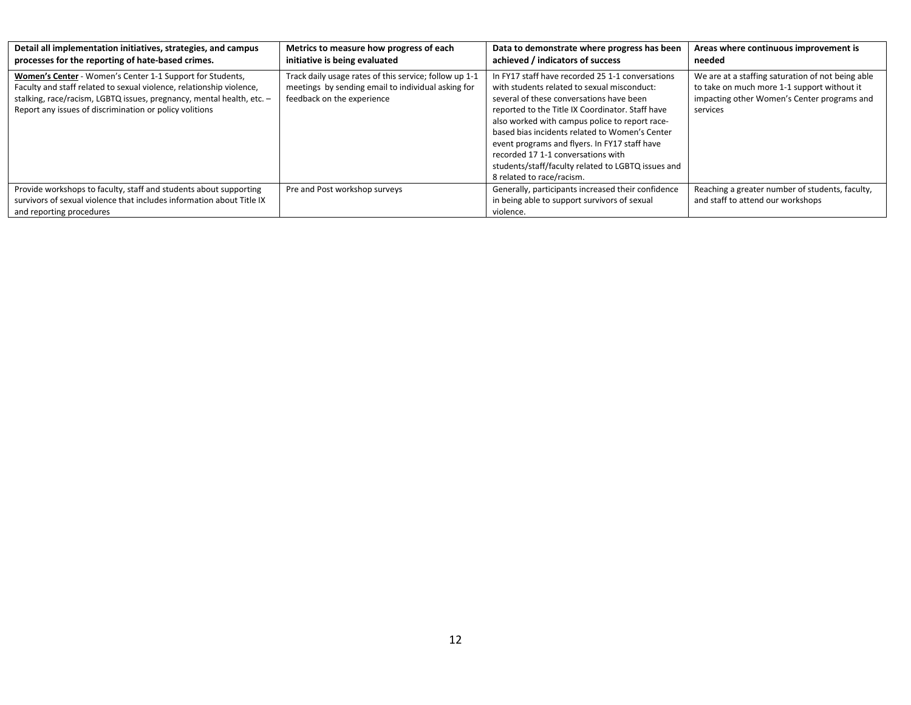| Detail all implementation initiatives, strategies, and campus<br>processes for the reporting of hate-based crimes.                                                                                                                                                    | Metrics to measure how progress of each<br>initiative is being evaluated                                                                   | Data to demonstrate where progress has been<br>achieved / indicators of success                                                                                                                                                                                                                                                                                                                                                                                               | Areas where continuous improvement is<br>needed                                                                                                             |
|-----------------------------------------------------------------------------------------------------------------------------------------------------------------------------------------------------------------------------------------------------------------------|--------------------------------------------------------------------------------------------------------------------------------------------|-------------------------------------------------------------------------------------------------------------------------------------------------------------------------------------------------------------------------------------------------------------------------------------------------------------------------------------------------------------------------------------------------------------------------------------------------------------------------------|-------------------------------------------------------------------------------------------------------------------------------------------------------------|
| Women's Center - Women's Center 1-1 Support for Students,<br>Faculty and staff related to sexual violence, relationship violence,<br>stalking, race/racism, LGBTQ issues, pregnancy, mental health, etc. -<br>Report any issues of discrimination or policy volitions | Track daily usage rates of this service; follow up 1-1<br>meetings by sending email to individual asking for<br>feedback on the experience | In FY17 staff have recorded 25 1-1 conversations<br>with students related to sexual misconduct:<br>several of these conversations have been<br>reported to the Title IX Coordinator. Staff have<br>also worked with campus police to report race-<br>based bias incidents related to Women's Center<br>event programs and flyers. In FY17 staff have<br>recorded 17 1-1 conversations with<br>students/staff/faculty related to LGBTQ issues and<br>8 related to race/racism. | We are at a staffing saturation of not being able<br>to take on much more 1-1 support without it<br>impacting other Women's Center programs and<br>services |
| Provide workshops to faculty, staff and students about supporting<br>survivors of sexual violence that includes information about Title IX<br>and reporting procedures                                                                                                | Pre and Post workshop surveys                                                                                                              | Generally, participants increased their confidence<br>in being able to support survivors of sexual<br>violence.                                                                                                                                                                                                                                                                                                                                                               | Reaching a greater number of students, faculty,<br>and staff to attend our workshops                                                                        |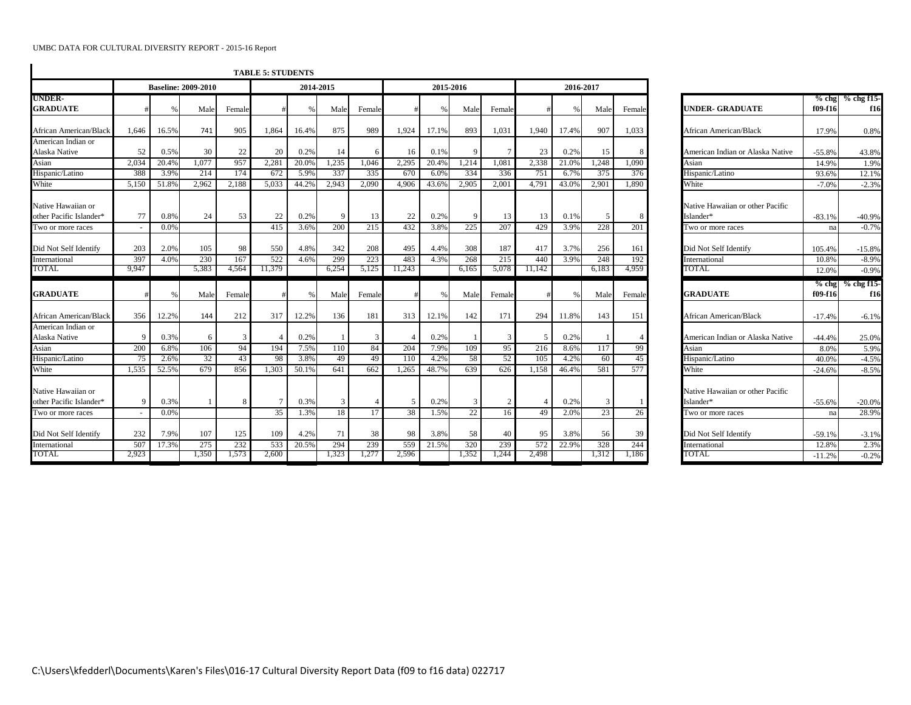|                                               |       |       |                            |        | <b>TABLE 5: STUDENTS</b> |       |           |                |        |       |              |                |                |               |           |        |                                               |                    |                     |
|-----------------------------------------------|-------|-------|----------------------------|--------|--------------------------|-------|-----------|----------------|--------|-------|--------------|----------------|----------------|---------------|-----------|--------|-----------------------------------------------|--------------------|---------------------|
|                                               |       |       | <b>Baseline: 2009-2010</b> |        |                          |       | 2014-2015 |                |        |       | 2015-2016    |                |                |               | 2016-2017 |        |                                               |                    |                     |
| <b>UNDER-</b><br><b>GRADUATE</b>              |       |       | Male                       | Female |                          |       | Male      | Female         |        | %     | Male         | Female         |                | $\frac{0}{6}$ | Male      | Female | <b>UNDER- GRADUATE</b>                        | $%$ chg<br>f09-f16 | $%$ chg f15-<br>f16 |
| African American/Black                        | 1.646 | 16.5% | 741                        | 905    | 1,864                    | 16.4% | 875       | 989            | 1.924  | 17.1% | 893          | 1,031          | 1.940          | 17.4%         | 907       | 1,033  | African American/Black                        | 17.9%              | 0.8%                |
| American Indian or                            |       |       |                            |        |                          |       |           |                |        |       |              |                |                |               |           |        |                                               |                    |                     |
| Alaska Native                                 | 52    | 0.5%  | 30                         | 22     | 20                       | 0.2%  | 14        | -6             | 16     | 0.1%  | 9            |                | 23             | 0.2%          | 15        |        | American Indian or Alaska Native              | $-55.8%$           | 43.8%               |
| Asian                                         | 2.034 | 20.4% | 1.077                      | 957    | 2.281                    | 20.0% | 1,235     | 1.046          | 2.295  | 20.4% | 1.214        | 1.081          | 2.338          | 21.0%         | 1.248     | 1.090  | Asian                                         | 14.9%              | 1.9%                |
| Hispanic/Latino                               | 388   | 3.9%  | 214                        | 174    | 672                      | 5.9%  | 337       | 335            | 670    | 6.0%  | 334          | 336            | 751            | 6.7%          | 375       | 376    | Hispanic/Latino                               | 93.6%              | 12.1%               |
| White                                         | 5,150 | 51.8% | 2.962                      | 2.188  | 5.033                    | 44.2% | 2.943     | 2.090          | 4.906  | 43.6% | 2.905        | 2.001          | 4.791          | 43.0%         | 2.901     | 1.890  | White                                         | $-7.0%$            | $-2.3%$             |
| Native Hawaiian or<br>other Pacific Islander* | 77    | 0.8%  | 24                         | 53     | 22                       | 0.2%  | -9        | 13             | 22     | 0.2%  | 9            | 13             | 13             | 0.1%          | -5        |        | Native Hawaiian or other Pacific<br>Islander* | $-83.1%$           | $-40.9%$            |
| Two or more races                             |       | 0.0%  |                            |        | 415                      | 3.6%  | 200       | 215            | 432    | 3.8%  | 225          | 207            | 429            | 3.9%          | 228       | 201    | Two or more races                             | na                 | $-0.7%$             |
| Did Not Self Identify                         | 203   | 2.0%  | 105                        | 98     | 550                      | 4.8%  | 342       | 208            | 495    | 4.4%  | 308          | 187            | 417            | 3.7%          | 256       | 161    | Did Not Self Identify                         | 105.4%             | $-15.8%$            |
| International                                 | 397   | 4.0%  | 230                        | 167    | 522                      | 4.6%  | 299       | 223            | 483    | 4.3%  | 268          | 215            | 440            | 3.9%          | 248       | 192    | International                                 | 10.8%              | $-8.9%$             |
| TOTAL                                         | 9.947 |       | 5,383                      | 4.564  | 11,379                   |       | 6.254     | 5,125          | 11,243 |       | 6.165        | 5,078          | 11.142         |               | 6.183     | 4.959  | TOTAL                                         | 12.0%              | $-0.9%$             |
| <b>GRADUATE</b>                               |       |       | Male                       | Female |                          |       | Male      | Female         |        | %     | Male         | Female         |                | $\%$          | Male      | Female | <b>GRADUATE</b>                               | $%$ chg<br>f09-f16 | $%$ chg f15-<br>f16 |
| African American/Black                        | 356   | 12.2% | 144                        | 212    | 317                      | 12.2% | 136       | 181            | 313    | 12.1% | 142          | 171            | 294            | 11.8%         | 143       | 151    | African American/Black                        | $-17.4%$           | $-6.1%$             |
| American Indian or                            |       |       |                            |        |                          |       |           |                |        |       |              |                |                |               |           |        |                                               |                    |                     |
| Alaska Native                                 | 9     | 0.3%  | 6                          | 3      |                          | 0.2%  |           | $\overline{3}$ |        | 0.2%  |              | $\overline{3}$ | 5              | 0.2%          |           |        | American Indian or Alaska Native              | $-44.4%$           | 25.0%               |
| Asian                                         | 200   | 6.8%  | 106                        | 94     | 194                      | 7.5%  | 110       | 84             | 204    | 7.9%  | 109          | 95             | 216            | 8.6%          | 117       | 99     | Asian                                         | 8.0%               | 5.9%                |
| Hispanic/Latino                               | 75    | 2.6%  | 32                         | 43     | 98                       | 3.8%  | 49        | 49             | 110    | 4.2%  | 58           | 52             | 105            | 4.2%          | 60        | 45     | Hispanic/Latino                               | 40.0%              | $-4.5%$             |
| White                                         | 1.535 | 52.5% | 679                        | 856    | 1.303                    | 50.1% | 641       | 662            | 1.265  | 48.7% | 639          | 626            | 1.158          | 46.4%         | 581       | 577    | White                                         | $-24.6%$           | $-8.5%$             |
| Native Hawaiian or<br>other Pacific Islander* | 9     | 0.3%  | $\overline{1}$             | 8      | 7                        | 0.3%  | 3         |                | -5     | 0.2%  | $\mathbf{3}$ | 2              | $\overline{4}$ | 0.2%          | 3         |        | Native Hawaiian or other Pacific<br>Islander* | $-55.6%$           | $-20.0%$            |
| Two or more races                             |       | 0.0%  |                            |        | 35                       | 1.3%  | 18        | 17             | 38     | 1.5%  | 22           | 16             | 49             | 2.0%          | 23        | 26     | Two or more races                             | na                 | 28.9%               |
|                                               |       |       |                            |        |                          |       |           |                |        |       |              |                |                |               |           |        |                                               |                    |                     |
| Did Not Self Identify                         | 232   | 7.9%  | 107                        | 125    | 109                      | 4.2%  | 71        | 38             | 98     | 3.8%  | 58           | 40             | 95             | 3.8%          | 56        | 39     | Did Not Self Identify                         | $-59.1%$           | $-3.1%$             |
| International                                 | 507   | 17.3% | 275                        | 232    | 533                      | 20.5% | 294       | 239            | 559    | 21.5% | 320          | 239            | 572            | 22.9%         | 328       | 244    | International                                 | 12.8%              | 2.3%                |
| TOTAL                                         | 2,923 |       | 1,350                      | 1,573  | 2,600                    |       | 1.323     | 1,277          | 2,596  |       | 1,352        | 1,244          | 2,498          |               | 1,312     | 1,186  | TOTAL                                         | $-11.2%$           | $-0.2%$             |

|                                  | $%$ chg           | % chg f15-         |
|----------------------------------|-------------------|--------------------|
| <b>UNDER- GRADUATE</b>           | f09-f16           | f16                |
|                                  |                   |                    |
| African American/Black           | 17.9%             | 0.8%               |
|                                  |                   |                    |
| American Indian or Alaska Native | $-55.8%$          | 43.8%              |
| Asian                            | 14.9%             | 1.9%               |
| Hispanic/Latino                  | 93.6%             | 12.1%              |
| White                            | $-7.0%$           | $-2.3%$            |
| Native Hawaiian or other Pacific |                   |                    |
| Islander*                        | $-83.1%$          | $-40.9%$           |
| Two or more races                | na                | $-0.7%$            |
|                                  |                   |                    |
| Did Not Self Identify            | 105.4%            | $-15.8%$           |
| International                    | 10.8%             | $-8.9%$            |
| TOTAL                            | 12.0%             | $-0.9%$            |
|                                  |                   |                    |
|                                  | $%$ chg           | % chg f15-         |
| <b>GRADUATE</b>                  | f09-f16           | f16                |
|                                  |                   |                    |
| African American/Black           | $-17.4%$          | $-6.1%$            |
| American Indian or Alaska Native | $-44.4%$          |                    |
| Asian                            | 8.0%              | 25.0%<br>5.9%      |
|                                  | 40.0%             |                    |
| Hispanic/Latino<br>White         | $-24.6%$          | $-4.5%$<br>$-8.5%$ |
|                                  |                   |                    |
| Native Hawaiian or other Pacific |                   |                    |
| Islander*                        | $-55.6%$          | $-20.0\%$          |
| Two or more races                | na                | 28.9%              |
|                                  |                   |                    |
| Did Not Self Identify            | $-59.1%$          | $-3.1%$            |
| International<br>TOTAL           | 12.8%<br>$-11.2%$ | 2.3%<br>$-0.2%$    |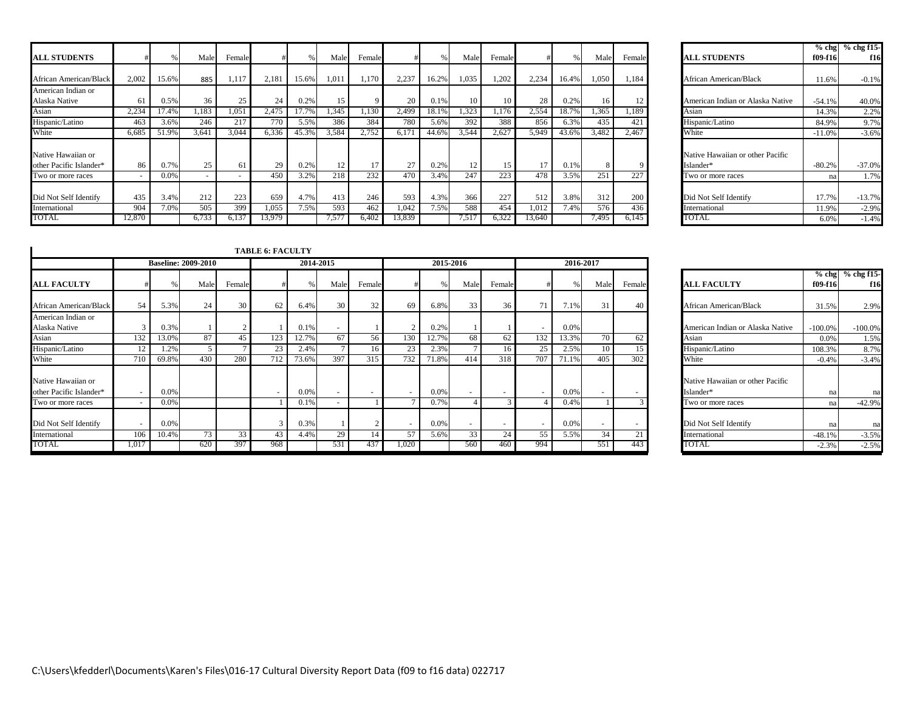|                                               |            |              |                 |                          |                 |              |            |                  |              |              |            |            |              |              |            |                   |                                               |                | $%$ chg $%$ chg f15 |
|-----------------------------------------------|------------|--------------|-----------------|--------------------------|-----------------|--------------|------------|------------------|--------------|--------------|------------|------------|--------------|--------------|------------|-------------------|-----------------------------------------------|----------------|---------------------|
| <b>ALL STUDENTS</b>                           |            |              | Male            | Female                   |                 |              | Male       | Female           |              |              | Male       | Female     |              |              | Male       | Female            | <b>ALL STUDENTS</b>                           | f09-f16        | f16                 |
| African American/Black                        | 2,002      | 15.6%        | 885             | 1,117                    | 2,181           | 15.6%        | 1,011      | 1,170            | 2,237        | 16.2%        | 1,035      | 1,202      | 2,234        | 16.4%        | 1,050      | 1,184             | African American/Black                        | 11.6%          | $-0.1%$             |
| American Indian or<br>Alaska Native           |            | 0.5%         | 36 <sub>1</sub> | 25                       | 24              | 0.2%         | 15         |                  | 20           | 0.1%         |            |            | 28           | 0.2%         | 16         |                   | American Indian or Alaska Native              | $-54.1%$       | 40.0%               |
| Asian                                         | 2,234      | 17.49        | 1.183           | 1.051                    | 2.475           | 17.7%        | 1.345      | 1.130            | 2.499        | 18.1%        | 1,323      | 1.176      | 2,554        | 18.7%        | .365       | 1,189             | Asian                                         | 14.3%          | 2.2%                |
| Hispanic/Latino                               | 463        | 3.6%         | 246             | 217                      | 770             | 5.5%         | 386        | 384              | 780          | 5.6%         | 392        | 388        | 856          | 6.3%         | 435        | 421               | Hispanic/Latino                               | 84.9%          | 9.7%                |
| White                                         | 6.685      | 51.9%        | 3.641           | 3,044                    | 6.336           | 45.3%        | 3.584      | 2,752            | 6.171        | 44.6%        | 3,544      | 2.627      | 5.949        | 43.6%        | 3,482      | 2.467             | White                                         | $-11.0%$       | $-3.6%$             |
| Native Hawaiian or<br>other Pacific Islander* | 86         | 0.7%         | 25              | 61                       | 29              | 0.2%         | 12         | 17               | 27           | 0.2%         |            |            | 17           | 0.1%         |            |                   | Native Hawaiian or other Pacific<br>Islander* | $-80.2%$       | $-37.0%$            |
| Two or more races                             |            | 0.0%         |                 | $\overline{\phantom{a}}$ | 45 <sub>C</sub> | 3.2%         | 218        | $2\overline{32}$ | 470          | 3.4%         | 247        | 223        | 478          | 3.5%         | 251        | 227               | Two or more races                             | na             | 1.7%                |
| Did Not Self Identify<br>International        | 435<br>904 | 3.4%<br>7.0% | 212<br>505      | 223<br>399               | 659<br>1,055    | 4.7%<br>7.5% | 413<br>593 | 246<br>462       | 593<br>1,042 | 4.3%<br>7.5% | 366<br>588 | 227<br>454 | 512<br>1.012 | 3.8%<br>7.4% | 312<br>576 | <b>200</b><br>436 | Did Not Self Identify<br>International        | 17.7%<br>11.9% | $-13.7%$<br>$-2.9%$ |
| TOTAL                                         | 12.870     |              | 6,733           | 0.13.                    | 13,979          |              | 7.577      | 6.402            | 13,839       |              | 7.51       | 6.322      | 13,640       |              | 7.495      | 6.145             | TOTAL                                         | 6.0%           | $-1.4%$             |

|                                  | $%$ chg  | $%$ chg f15- |
|----------------------------------|----------|--------------|
| <b>ALL STUDENTS</b>              | f09-f16  | f16          |
|                                  |          |              |
| African American/Black           | 11.6%    | $-0.1%$      |
|                                  |          |              |
| American Indian or Alaska Native | $-54.1%$ | 40.0%        |
| Asian                            | 14.3%    | 2.2%         |
| Hispanic/Latino                  | 84.9%    | 9.7%         |
| White                            | $-11.0%$ | $-3.6%$      |
| Native Hawaiian or other Pacific |          |              |
| Islander*                        | $-80.2%$ | $-37.0%$     |
| Two or more races                | na       | 1.7%         |
| Did Not Self Identify            | 17.7%    | $-13.7%$     |
| International                    | 11.9%    | $-2.9%$      |
| TOTAI                            | 6.0%     | $-1.4%$      |

|                                               |                                 |               |                            |        | <b>TABLE 6: FACULTY</b> |              |           |        |                                |               |                 |                           |                          |              |                 |                                |                                               |                |                            |
|-----------------------------------------------|---------------------------------|---------------|----------------------------|--------|-------------------------|--------------|-----------|--------|--------------------------------|---------------|-----------------|---------------------------|--------------------------|--------------|-----------------|--------------------------------|-----------------------------------------------|----------------|----------------------------|
|                                               |                                 |               | <b>Baseline: 2009-2010</b> |        |                         |              | 2014-2015 |        |                                |               | 2015-2016       |                           |                          |              | 2016-2017       |                                |                                               |                |                            |
| <b>ALL FACULTY</b>                            |                                 |               | Male                       | Female |                         |              | Male      | Female |                                | $\frac{0}{6}$ | Male            | Female                    |                          |              | Male            | Female                         | <b>ALL FACULTY</b>                            | $f09-f16$      | $%$ chg $%$ chg f15<br>f16 |
| African American/Black                        | 54                              | 5.3%          | 24                         | 30     | 62                      | 6.4%         | 30        | 32     | 69                             | 6.8%          | 33 <sup>1</sup> | 36 l                      | 71                       | 7.1%         | 31              | 40                             | African American/Black                        | 31.5%          | 2.9%                       |
| American Indian or<br>Alaska Native           | $\mathcal{R}$                   | 0.3%          |                            |        |                         | 0.1%         | $\sim$    |        |                                | 0.2%          |                 |                           | $\overline{\phantom{a}}$ | 0.0%         |                 |                                | American Indian or Alaska Native              | $-100.0\%$     | $-100.0%$                  |
| Asian                                         | 132                             | 13.0%         | 87                         | 45     | 123                     | 12.7%        | 67        | 56     | 130                            | 12.7%         | 68              | 62                        | 132                      | 13.3%        | 70              | 62                             | Asian                                         | 0.0%           | 1.5%                       |
| Hispanic/Latino                               | 12                              | 1.2%          |                            |        | 23                      | 2.4%         |           | 16     | 23                             | 2.3%          |                 | 16 <sup>1</sup>           | 25                       | 2.5%         | 10 <sup>1</sup> | 15                             | Hispanic/Latino                               | 108.3%         | 8.7%                       |
| White                                         | 710                             | 69.8%         | 430                        | 280    | 712                     | 73.6%        | 397       | 315    | 732                            | 71.8%         | 414             | 318                       | 707                      | 71.1%        | 405             | 302                            | White                                         | $-0.4%$        | $-3.4%$                    |
| Native Hawaiian or<br>other Pacific Islander* | $\overline{\phantom{a}}$        | 0.0%          |                            |        |                         | 0.0%         | $\sim$    |        | . .                            | 0.0%          | $\overline{a}$  | $\sim$                    | $\overline{\phantom{a}}$ | 0.0%         | $\sim$          |                                | Native Hawaiian or other Pacific<br>Islander* | na             | na                         |
| Two or more races                             |                                 | 0.0%          |                            |        |                         | 0.1%         | $\sim$    |        |                                | 0.7%          |                 |                           |                          | 0.4%         |                 |                                | Two or more races                             | na             | $-42.9%$                   |
| Did Not Self Identify<br>International        | $\overline{\phantom{a}}$<br>106 | 0.0%<br>10.4% | 73                         | 33     | 43                      | 0.3%<br>4.4% | 29        | 14     | $\overline{\phantom{a}}$<br>57 | 0.0%<br>5.6%  | -<br>33         | $\sim$<br>24 <sub>1</sub> | $\sim$<br>55             | 0.0%<br>5.5% | $\sim$<br>34    | $\overline{\phantom{a}}$<br>21 | Did Not Self Identify<br>International        | na<br>$-48.1%$ | na<br>$-3.5%$              |
| TOTAL                                         | 1,017                           |               | 620                        | 397    | 968                     |              | 531       | 437    | 1,020                          |               | 560             | 460                       | 994                      |              | 551             | 443                            | TOTAL                                         | $-2.3%$        | $-2.5%$                    |

|                                  | $%$ chg   | % chg f15- |
|----------------------------------|-----------|------------|
| <b>ALL FACULTY</b>               | f09-f16   | f16        |
| African American/Black           | 31.5%     | 2.9%       |
| American Indian or Alaska Native | $-100.0%$ | $-100.0\%$ |
| Asian                            | 0.0%      | 1.5%       |
| Hispanic/Latino                  | 108.3%    | 8.7%       |
| White                            | $-0.4%$   | $-3.4%$    |
| Native Hawaiian or other Pacific |           |            |
| Islander*                        | na        | na         |
| Two or more races                | na        | $-42.9%$   |
| Did Not Self Identify            | na        | na         |
| International                    | $-48.1%$  | $-3.5%$    |
| TOTAL.                           | $-2.3%$   | $-2.5%$    |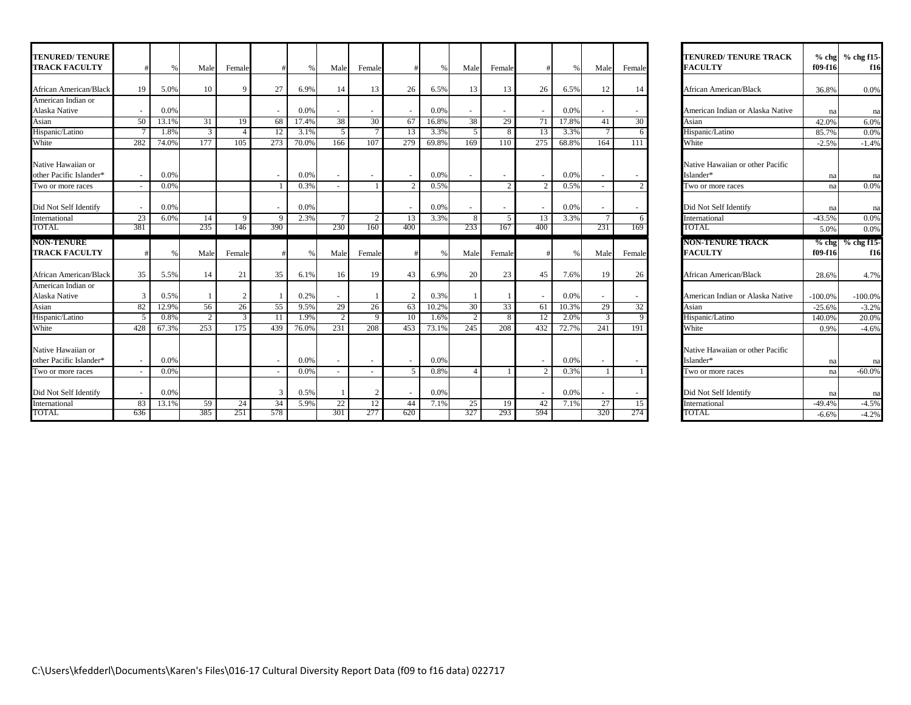| <b>TENURED/TENURE</b><br><b>TRACK FACULTY</b> |                          | $\%$  | Male | Female        |             | $\frac{0}{6}$ | Male                     | Female |                          | $\%$  | Male            | Female        | #                        | $\frac{0}{0}$ | Male                     | Female | <b>TENURED/TENURE TRACK</b><br><b>FACULTY</b> | f09-f16   | % chg % chg f15-<br>f16 |
|-----------------------------------------------|--------------------------|-------|------|---------------|-------------|---------------|--------------------------|--------|--------------------------|-------|-----------------|---------------|--------------------------|---------------|--------------------------|--------|-----------------------------------------------|-----------|-------------------------|
| African American/Black                        | 19                       | 5.0%  | 10   |               | 27          | 6.9%          | 14                       | 13     | 26                       | 6.5%  | 13              | 13            | 26                       | 6.5%          | 12                       | 14     | <b>African American/Black</b>                 | 36.8%     | 0.0%                    |
| American Indian or                            |                          |       |      |               |             |               |                          |        |                          |       |                 |               |                          |               |                          |        |                                               |           |                         |
| Alaska Native                                 |                          | 0.0%  |      |               |             | 0.0%          | $\sim$                   |        | $\overline{\phantom{a}}$ | 0.0%  |                 |               |                          | 0.0%          | ٠                        |        | American Indian or Alaska Native              | na        | na                      |
| Asian                                         | 50                       | 13.1% | 31   | 19            | 68          | 17.4%         | 38                       | 30     | 67                       | 16.8% | 38              | 29            | 71                       | 17.8%         | 41                       | 30     | Asian                                         | 42.0%     | 6.0%                    |
| Hispanic/Latino                               |                          | 1.8%  | 3    |               | 12          | 3.1%          | 5                        | $\tau$ | 13                       | 3.3%  | $\sqrt{5}$      | 8             | 13                       | 3.3%          | $7\overline{ }$          |        | Hispanic/Latino                               | 85.7%     | 0.0%                    |
| White                                         | 282                      | 74.0% | 177  | 105           | 273         | 70.0%         | 166                      | 107    | 279                      | 69.8% | 169             | 110           | 275                      | 68.8%         | 164                      | 111    | White                                         | $-2.5%$   | $-1.4%$                 |
| Native Hawaiian or<br>other Pacific Islander* |                          | 0.0%  |      |               |             | 0.0%          | $\sim$                   | $\sim$ | $\sim$                   | 0.0%  |                 |               | $\overline{\phantom{a}}$ | 0.0%          | $\sim$                   | $\sim$ | Native Hawaiian or other Pacific<br>Islander* | na        | na                      |
| Two or more races                             |                          | 0.0%  |      |               |             | 0.3%          | $\sim$                   |        | $\mathcal{D}$            | 0.5%  |                 | $\mathcal{L}$ | $\overline{2}$           | 0.5%          | $\sim$                   |        | Two or more races                             | na        | 0.0%                    |
| Did Not Self Identify                         |                          | 0.0%  |      |               |             | 0.0%          |                          |        |                          | 0.0%  |                 |               |                          | 0.0%          |                          |        | Did Not Self Identify                         | na        | na                      |
| International                                 | 23                       | 6.0%  | 14   | $\mathbf{Q}$  | $\mathbf Q$ | 2.3%          | $7\phantom{.0}$          | 2      | 13                       | 3.3%  | 8               | .5            | 13                       | 3.3%          | $7\overline{ }$          |        | International                                 | $-43.5%$  | 0.0%                    |
| TOTAL                                         | 381                      |       | 235  | 146           | 390         |               | 230                      | 160    | 400                      |       | 233             | 167           | 400                      |               | 231                      | 169    | TOTAL.                                        | 5.0%      | 0.0%                    |
| <b>NON-TENURE</b>                             |                          |       |      |               |             |               |                          |        |                          |       |                 |               |                          |               |                          |        | <b>NON-TENURE TRACK</b>                       | $%$ chg   | $%$ chg f15             |
| <b>TRACK FACULTY</b>                          |                          | 0/    | Male | Female        |             |               | Male                     | Female |                          |       | Male            | Female        |                          |               | Male                     | Female | <b>FACULTY</b>                                | f09-f16   | f16                     |
| African American/Blacl                        | 35                       | 5.5%  | 14   | 21            | 35          | 6.1%          | 16                       | 19     | 43                       | 6.9%  | 20              | 23            | 45                       | 7.6%          | 19                       | 26     | African American/Black                        | 28.6%     | 4.7%                    |
| American Indian or<br>Alaska Native           | 3                        | 0.5%  |      |               |             | 0.2%          | $\overline{\phantom{a}}$ |        | $\overline{2}$           | 0.3%  |                 |               |                          | 0.0%          | $\overline{\phantom{a}}$ |        | American Indian or Alaska Native              | $-100.0%$ | $-100.0%$               |
| Asian                                         | 82                       | 12.9% | 56   | 26            | 55          | 9.5%          | 29                       | 26     | 63                       | 10.2% | 30 <sup>1</sup> | 33            | 61                       | 10.3%         | 29                       | 32     | Asian                                         | $-25.6%$  | $-3.2%$                 |
| Hispanic/Latino                               | $\overline{\phantom{1}}$ | 0.8%  | 2    | $\mathcal{R}$ | 11          | 1.9%          | 2                        | 9      | 10                       | 1.6%  | 2               | 8             | 12                       | 2.0%          | 3                        |        | Hispanic/Latino                               | 140.0%    | 20.0%                   |
| White                                         | 428                      | 67.3% | 253  | 175           | 439         | 76.0%         | 231                      | 208    | 453                      | 73.1% | 245             | 208           | 432                      | 72.7%         | 241                      | 191    | White                                         | 0.9%      | $-4.6%$                 |
| Native Hawaiian or<br>other Pacific Islander* |                          | 0.0%  |      |               |             | 0.0%          | $\overline{\phantom{a}}$ |        | $\overline{\phantom{a}}$ | 0.0%  |                 |               |                          | 0.0%          | ٠                        |        | Native Hawaiian or other Pacific<br>Islander* | na        | na                      |
| Two or more races                             |                          | 0.0%  |      |               |             | 0.0%          |                          |        | -5                       | 0.8%  | $\overline{4}$  |               | 2                        | 0.3%          |                          |        | Two or more races                             | na        | $-60.0%$                |
| Did Not Self Identify                         |                          | 0.0%  |      |               | 3           | 0.5%          | $\mathbf{1}$             | 2      | $\overline{\phantom{a}}$ | 0.0%  |                 |               | $\overline{\phantom{a}}$ | 0.0%          | $\overline{\phantom{a}}$ |        | Did Not Self Identify                         | na        | na                      |
| International                                 | 83                       | 13.1% | 59   | 24            | 34          | 5.9%          | 22                       | 12     | 44                       | 7.1%  | 25              | 19            | 42                       | 7.1%          | 27                       | 15     | International                                 | $-49.4%$  | $-4.5%$                 |
| TOTAL                                         | 636                      |       | 385  | 251           | 578         |               | 301                      | 277    | 620                      |       | 327             | 293           | 594                      |               | 320                      | 274    | TOTAL                                         | $-6.6%$   | $-4.2%$                 |

| <b>TENURED/ TENURE TRACK</b><br><b>FACULTY</b> | $%$ chg<br>f09-f16 | % chg f15-<br>f16         |
|------------------------------------------------|--------------------|---------------------------|
| African American/Black                         | 36.8%              | 0.0%                      |
| American Indian or Alaska Native               | na                 | na                        |
| Asian                                          | 42.0%              | 6.0%                      |
| Hispanic/Latino                                | 85.7%              | 0.0%                      |
| White                                          | $-2.5%$            | $-1.4%$                   |
| Native Hawaiian or other Pacific               |                    |                           |
| Islander*                                      | na                 | na                        |
| Two or more races                              | na                 | 0.0%                      |
| Did Not Self Identify                          |                    |                           |
| International                                  | na<br>$-43.5%$     | na<br>0.0%                |
| TOTAL.                                         | 5.0%               | 0.0%                      |
| <b>NON-TENURE TRACK</b>                        | $%$ chg            | % chg f15-                |
| <b>FACULTY</b>                                 | f09-f16            | f16                       |
|                                                |                    |                           |
| <b>African American/Black</b>                  | 28.6%              |                           |
| American Indian or Alaska Native               | $-100.0\%$         | 4.7%<br>-100.0%           |
| Asian                                          | $-25.6%$           | $-3.2%$                   |
| Hispanic/Latino                                | 140.0%             | 20.0%                     |
| White                                          | 0.9%               |                           |
| Native Hawaiian or other Pacific<br>Islander*  |                    |                           |
| Two or more races                              | na<br>na           | $-4.6%$<br>na<br>$-60.0%$ |
| Did Not Self Identify                          | na                 | na                        |
| International<br>TOTAL                         | $-49.4%$           | $-4.5%$                   |